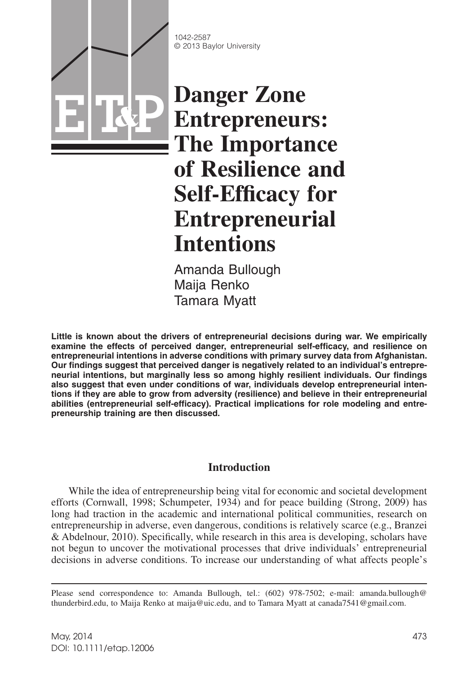

1042-2587 © 2013 Baylor University

# **Danger Zone Entrepreneurs: The Importance of Resilience and Self-Efficacy for Entrepreneurial Intentions**

Amanda Bullough Maija Renko Tamara Myatt

**Little is known about the drivers of entrepreneurial decisions during war. We empirically examine the effects of perceived danger, entrepreneurial self-efficacy, and resilience on entrepreneurial intentions in adverse conditions with primary survey data from Afghanistan. Our findings suggest that perceived danger is negatively related to an individual's entrepreneurial intentions, but marginally less so among highly resilient individuals. Our findings also suggest that even under conditions of war, individuals develop entrepreneurial intentions if they are able to grow from adversity (resilience) and believe in their entrepreneurial abilities (entrepreneurial self-efficacy). Practical implications for role modeling and entrepreneurship training are then discussed.**

## **Introduction**

While the idea of entrepreneurship being vital for economic and societal development efforts (Cornwall, 1998; Schumpeter, 1934) and for peace building (Strong, 2009) has long had traction in the academic and international political communities, research on entrepreneurship in adverse, even dangerous, conditions is relatively scarce (e.g., Branzei & Abdelnour, 2010). Specifically, while research in this area is developing, scholars have not begun to uncover the motivational processes that drive individuals' entrepreneurial decisions in adverse conditions. To increase our understanding of what affects people's

Please send correspondence to: Amanda Bullough, tel.: (602) 978-7502; e-mail: amanda.bullough@ thunderbird.edu, to Maija Renko at maija@uic.edu, and to Tamara Myatt at canada7541@gmail.com.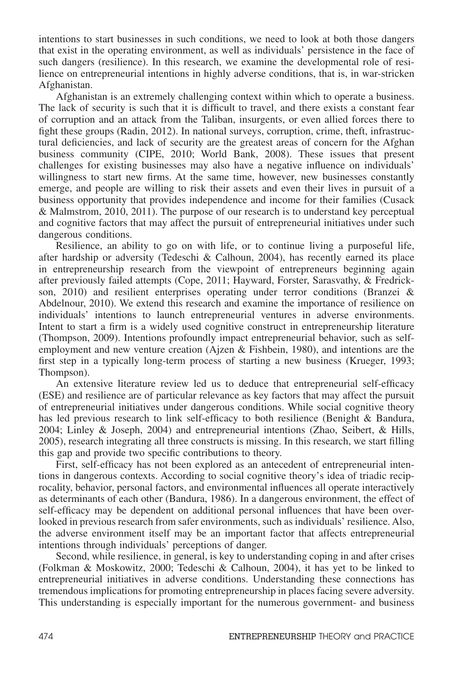intentions to start businesses in such conditions, we need to look at both those dangers that exist in the operating environment, as well as individuals' persistence in the face of such dangers (resilience). In this research, we examine the developmental role of resilience on entrepreneurial intentions in highly adverse conditions, that is, in war-stricken Afghanistan.

Afghanistan is an extremely challenging context within which to operate a business. The lack of security is such that it is difficult to travel, and there exists a constant fear of corruption and an attack from the Taliban, insurgents, or even allied forces there to fight these groups (Radin, 2012). In national surveys, corruption, crime, theft, infrastructural deficiencies, and lack of security are the greatest areas of concern for the Afghan business community (CIPE, 2010; World Bank, 2008). These issues that present challenges for existing businesses may also have a negative influence on individuals' willingness to start new firms. At the same time, however, new businesses constantly emerge, and people are willing to risk their assets and even their lives in pursuit of a business opportunity that provides independence and income for their families (Cusack & Malmstrom, 2010, 2011). The purpose of our research is to understand key perceptual and cognitive factors that may affect the pursuit of entrepreneurial initiatives under such dangerous conditions.

Resilience, an ability to go on with life, or to continue living a purposeful life, after hardship or adversity (Tedeschi & Calhoun, 2004), has recently earned its place in entrepreneurship research from the viewpoint of entrepreneurs beginning again after previously failed attempts (Cope, 2011; Hayward, Forster, Sarasvathy, & Fredrickson, 2010) and resilient enterprises operating under terror conditions (Branzei & Abdelnour, 2010). We extend this research and examine the importance of resilience on individuals' intentions to launch entrepreneurial ventures in adverse environments. Intent to start a firm is a widely used cognitive construct in entrepreneurship literature (Thompson, 2009). Intentions profoundly impact entrepreneurial behavior, such as selfemployment and new venture creation (Ajzen & Fishbein, 1980), and intentions are the first step in a typically long-term process of starting a new business (Krueger, 1993; Thompson).

An extensive literature review led us to deduce that entrepreneurial self-efficacy (ESE) and resilience are of particular relevance as key factors that may affect the pursuit of entrepreneurial initiatives under dangerous conditions. While social cognitive theory has led previous research to link self-efficacy to both resilience (Benight & Bandura, 2004; Linley & Joseph, 2004) and entrepreneurial intentions (Zhao, Seibert, & Hills, 2005), research integrating all three constructs is missing. In this research, we start filling this gap and provide two specific contributions to theory.

First, self-efficacy has not been explored as an antecedent of entrepreneurial intentions in dangerous contexts. According to social cognitive theory's idea of triadic reciprocality, behavior, personal factors, and environmental influences all operate interactively as determinants of each other (Bandura, 1986). In a dangerous environment, the effect of self-efficacy may be dependent on additional personal influences that have been overlooked in previous research from safer environments, such as individuals' resilience. Also, the adverse environment itself may be an important factor that affects entrepreneurial intentions through individuals' perceptions of danger.

Second, while resilience, in general, is key to understanding coping in and after crises (Folkman & Moskowitz, 2000; Tedeschi & Calhoun, 2004), it has yet to be linked to entrepreneurial initiatives in adverse conditions. Understanding these connections has tremendous implications for promoting entrepreneurship in places facing severe adversity. This understanding is especially important for the numerous government- and business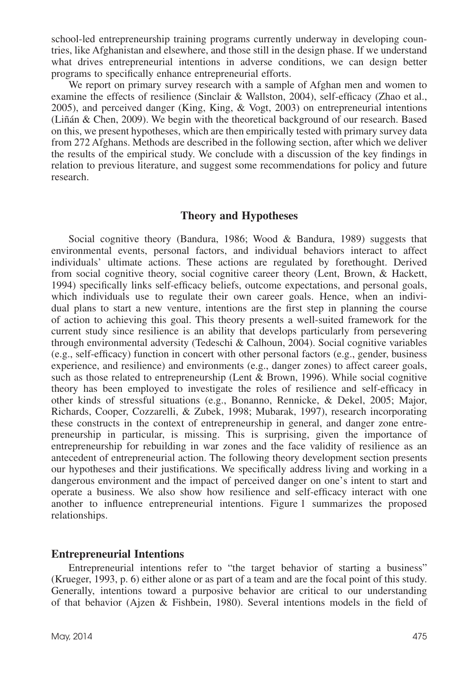school-led entrepreneurship training programs currently underway in developing countries, like Afghanistan and elsewhere, and those still in the design phase. If we understand what drives entrepreneurial intentions in adverse conditions, we can design better programs to specifically enhance entrepreneurial efforts.

We report on primary survey research with a sample of Afghan men and women to examine the effects of resilience (Sinclair & Wallston, 2004), self-efficacy (Zhao et al., 2005), and perceived danger (King, King, & Vogt, 2003) on entrepreneurial intentions (Liñán & Chen, 2009). We begin with the theoretical background of our research. Based on this, we present hypotheses, which are then empirically tested with primary survey data from 272 Afghans. Methods are described in the following section, after which we deliver the results of the empirical study. We conclude with a discussion of the key findings in relation to previous literature, and suggest some recommendations for policy and future research.

#### **Theory and Hypotheses**

Social cognitive theory (Bandura, 1986; Wood & Bandura, 1989) suggests that environmental events, personal factors, and individual behaviors interact to affect individuals' ultimate actions. These actions are regulated by forethought. Derived from social cognitive theory, social cognitive career theory (Lent, Brown, & Hackett, 1994) specifically links self-efficacy beliefs, outcome expectations, and personal goals, which individuals use to regulate their own career goals. Hence, when an individual plans to start a new venture, intentions are the first step in planning the course of action to achieving this goal. This theory presents a well-suited framework for the current study since resilience is an ability that develops particularly from persevering through environmental adversity (Tedeschi & Calhoun, 2004). Social cognitive variables (e.g., self-efficacy) function in concert with other personal factors (e.g., gender, business experience, and resilience) and environments (e.g., danger zones) to affect career goals, such as those related to entrepreneurship (Lent & Brown, 1996). While social cognitive theory has been employed to investigate the roles of resilience and self-efficacy in other kinds of stressful situations (e.g., Bonanno, Rennicke, & Dekel, 2005; Major, Richards, Cooper, Cozzarelli, & Zubek, 1998; Mubarak, 1997), research incorporating these constructs in the context of entrepreneurship in general, and danger zone entrepreneurship in particular, is missing. This is surprising, given the importance of entrepreneurship for rebuilding in war zones and the face validity of resilience as an antecedent of entrepreneurial action. The following theory development section presents our hypotheses and their justifications. We specifically address living and working in a dangerous environment and the impact of perceived danger on one's intent to start and operate a business. We also show how resilience and self-efficacy interact with one another to influence entrepreneurial intentions. Figure 1 summarizes the proposed relationships.

#### **Entrepreneurial Intentions**

Entrepreneurial intentions refer to "the target behavior of starting a business" (Krueger, 1993, p. 6) either alone or as part of a team and are the focal point of this study. Generally, intentions toward a purposive behavior are critical to our understanding of that behavior (Ajzen & Fishbein, 1980). Several intentions models in the field of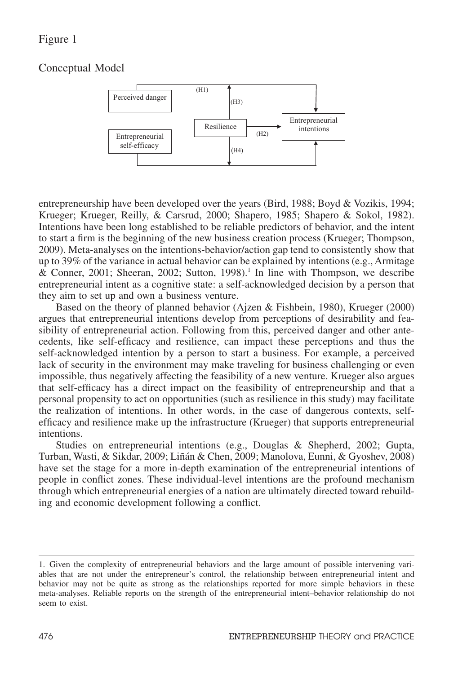### Figure 1

# Conceptual Model



entrepreneurship have been developed over the years (Bird, 1988; Boyd & Vozikis, 1994; Krueger; Krueger, Reilly, & Carsrud, 2000; Shapero, 1985; Shapero & Sokol, 1982). Intentions have been long established to be reliable predictors of behavior, and the intent to start a firm is the beginning of the new business creation process (Krueger; Thompson, 2009). Meta-analyses on the intentions-behavior/action gap tend to consistently show that up to 39% of the variance in actual behavior can be explained by intentions (e.g., Armitage & Conner, 2001; Sheeran, 2002; Sutton, 1998).<sup>1</sup> In line with Thompson, we describe entrepreneurial intent as a cognitive state: a self-acknowledged decision by a person that they aim to set up and own a business venture.

Based on the theory of planned behavior (Ajzen & Fishbein, 1980), Krueger (2000) argues that entrepreneurial intentions develop from perceptions of desirability and feasibility of entrepreneurial action. Following from this, perceived danger and other antecedents, like self-efficacy and resilience, can impact these perceptions and thus the self-acknowledged intention by a person to start a business. For example, a perceived lack of security in the environment may make traveling for business challenging or even impossible, thus negatively affecting the feasibility of a new venture. Krueger also argues that self-efficacy has a direct impact on the feasibility of entrepreneurship and that a personal propensity to act on opportunities (such as resilience in this study) may facilitate the realization of intentions. In other words, in the case of dangerous contexts, selfefficacy and resilience make up the infrastructure (Krueger) that supports entrepreneurial intentions.

Studies on entrepreneurial intentions (e.g., Douglas & Shepherd, 2002; Gupta, Turban, Wasti, & Sikdar, 2009; Liñán & Chen, 2009; Manolova, Eunni, & Gyoshev, 2008) have set the stage for a more in-depth examination of the entrepreneurial intentions of people in conflict zones. These individual-level intentions are the profound mechanism through which entrepreneurial energies of a nation are ultimately directed toward rebuilding and economic development following a conflict.

<sup>1.</sup> Given the complexity of entrepreneurial behaviors and the large amount of possible intervening variables that are not under the entrepreneur's control, the relationship between entrepreneurial intent and behavior may not be quite as strong as the relationships reported for more simple behaviors in these meta-analyses. Reliable reports on the strength of the entrepreneurial intent–behavior relationship do not seem to exist.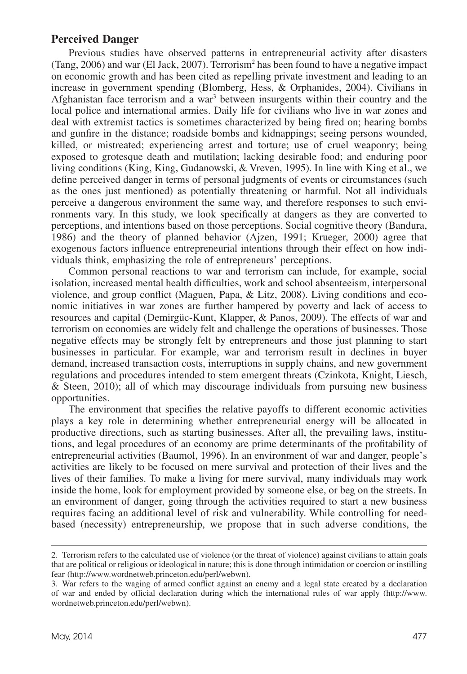#### **Perceived Danger**

Previous studies have observed patterns in entrepreneurial activity after disasters (Tang,  $2006$ ) and war (El Jack,  $2007$ ). Terrorism<sup>2</sup> has been found to have a negative impact on economic growth and has been cited as repelling private investment and leading to an increase in government spending (Blomberg, Hess, & Orphanides, 2004). Civilians in Afghanistan face terrorism and a war<sup>3</sup> between insurgents within their country and the local police and international armies. Daily life for civilians who live in war zones and deal with extremist tactics is sometimes characterized by being fired on; hearing bombs and gunfire in the distance; roadside bombs and kidnappings; seeing persons wounded, killed, or mistreated; experiencing arrest and torture; use of cruel weaponry; being exposed to grotesque death and mutilation; lacking desirable food; and enduring poor living conditions (King, King, Gudanowski, & Vreven, 1995). In line with King et al., we define perceived danger in terms of personal judgments of events or circumstances (such as the ones just mentioned) as potentially threatening or harmful. Not all individuals perceive a dangerous environment the same way, and therefore responses to such environments vary. In this study, we look specifically at dangers as they are converted to perceptions, and intentions based on those perceptions. Social cognitive theory (Bandura, 1986) and the theory of planned behavior (Ajzen, 1991; Krueger, 2000) agree that exogenous factors influence entrepreneurial intentions through their effect on how individuals think, emphasizing the role of entrepreneurs' perceptions.

Common personal reactions to war and terrorism can include, for example, social isolation, increased mental health difficulties, work and school absenteeism, interpersonal violence, and group conflict (Maguen, Papa, & Litz, 2008). Living conditions and economic initiatives in war zones are further hampered by poverty and lack of access to resources and capital (Demirgüc-Kunt, Klapper, & Panos, 2009). The effects of war and terrorism on economies are widely felt and challenge the operations of businesses. Those negative effects may be strongly felt by entrepreneurs and those just planning to start businesses in particular. For example, war and terrorism result in declines in buyer demand, increased transaction costs, interruptions in supply chains, and new government regulations and procedures intended to stem emergent threats (Czinkota, Knight, Liesch, & Steen, 2010); all of which may discourage individuals from pursuing new business opportunities.

The environment that specifies the relative payoffs to different economic activities plays a key role in determining whether entrepreneurial energy will be allocated in productive directions, such as starting businesses. After all, the prevailing laws, institutions, and legal procedures of an economy are prime determinants of the profitability of entrepreneurial activities (Baumol, 1996). In an environment of war and danger, people's activities are likely to be focused on mere survival and protection of their lives and the lives of their families. To make a living for mere survival, many individuals may work inside the home, look for employment provided by someone else, or beg on the streets. In an environment of danger, going through the activities required to start a new business requires facing an additional level of risk and vulnerability. While controlling for needbased (necessity) entrepreneurship, we propose that in such adverse conditions, the

<sup>2.</sup> Terrorism refers to the calculated use of violence (or the threat of violence) against civilians to attain goals that are political or religious or ideological in nature; this is done through intimidation or coercion or instilling fear (http://www.wordnetweb.princeton.edu/perl/webwn).

<sup>3.</sup> War refers to the waging of armed conflict against an enemy and a legal state created by a declaration of war and ended by official declaration during which the international rules of war apply (http://www. wordnetweb.princeton.edu/perl/webwn).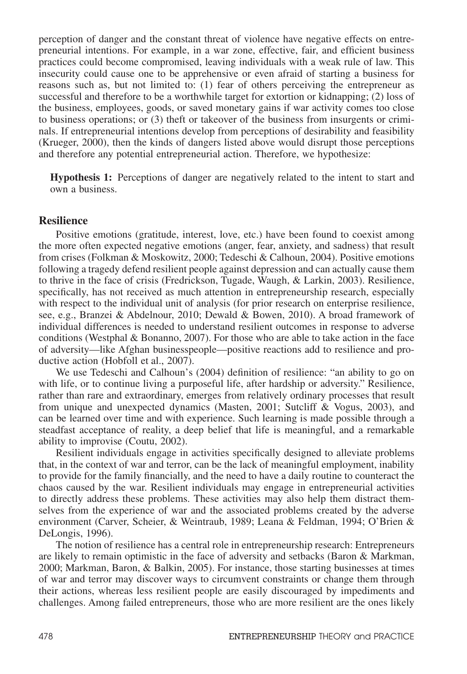perception of danger and the constant threat of violence have negative effects on entrepreneurial intentions. For example, in a war zone, effective, fair, and efficient business practices could become compromised, leaving individuals with a weak rule of law. This insecurity could cause one to be apprehensive or even afraid of starting a business for reasons such as, but not limited to: (1) fear of others perceiving the entrepreneur as successful and therefore to be a worthwhile target for extortion or kidnapping; (2) loss of the business, employees, goods, or saved monetary gains if war activity comes too close to business operations; or (3) theft or takeover of the business from insurgents or criminals. If entrepreneurial intentions develop from perceptions of desirability and feasibility (Krueger, 2000), then the kinds of dangers listed above would disrupt those perceptions and therefore any potential entrepreneurial action. Therefore, we hypothesize:

**Hypothesis 1:** Perceptions of danger are negatively related to the intent to start and own a business.

#### **Resilience**

Positive emotions (gratitude, interest, love, etc.) have been found to coexist among the more often expected negative emotions (anger, fear, anxiety, and sadness) that result from crises (Folkman & Moskowitz, 2000; Tedeschi & Calhoun, 2004). Positive emotions following a tragedy defend resilient people against depression and can actually cause them to thrive in the face of crisis (Fredrickson, Tugade, Waugh, & Larkin, 2003). Resilience, specifically, has not received as much attention in entrepreneurship research, especially with respect to the individual unit of analysis (for prior research on enterprise resilience, see, e.g., Branzei & Abdelnour, 2010; Dewald & Bowen, 2010). A broad framework of individual differences is needed to understand resilient outcomes in response to adverse conditions (Westphal & Bonanno, 2007). For those who are able to take action in the face of adversity—like Afghan businesspeople—positive reactions add to resilience and productive action (Hobfoll et al., 2007).

We use Tedeschi and Calhoun's (2004) definition of resilience: "an ability to go on with life, or to continue living a purposeful life, after hardship or adversity." Resilience, rather than rare and extraordinary, emerges from relatively ordinary processes that result from unique and unexpected dynamics (Masten, 2001; Sutcliff & Vogus, 2003), and can be learned over time and with experience. Such learning is made possible through a steadfast acceptance of reality, a deep belief that life is meaningful, and a remarkable ability to improvise (Coutu, 2002).

Resilient individuals engage in activities specifically designed to alleviate problems that, in the context of war and terror, can be the lack of meaningful employment, inability to provide for the family financially, and the need to have a daily routine to counteract the chaos caused by the war. Resilient individuals may engage in entrepreneurial activities to directly address these problems. These activities may also help them distract themselves from the experience of war and the associated problems created by the adverse environment (Carver, Scheier, & Weintraub, 1989; Leana & Feldman, 1994; O'Brien & DeLongis, 1996).

The notion of resilience has a central role in entrepreneurship research: Entrepreneurs are likely to remain optimistic in the face of adversity and setbacks (Baron & Markman, 2000; Markman, Baron, & Balkin, 2005). For instance, those starting businesses at times of war and terror may discover ways to circumvent constraints or change them through their actions, whereas less resilient people are easily discouraged by impediments and challenges. Among failed entrepreneurs, those who are more resilient are the ones likely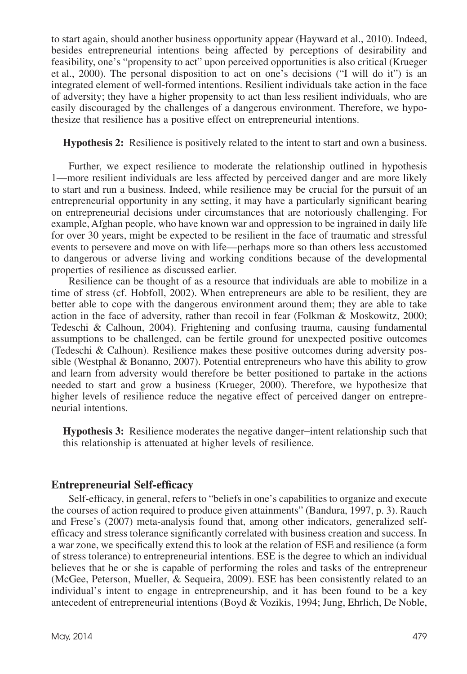to start again, should another business opportunity appear (Hayward et al., 2010). Indeed, besides entrepreneurial intentions being affected by perceptions of desirability and feasibility, one's "propensity to act" upon perceived opportunities is also critical (Krueger et al., 2000). The personal disposition to act on one's decisions ("I will do it") is an integrated element of well-formed intentions. Resilient individuals take action in the face of adversity; they have a higher propensity to act than less resilient individuals, who are easily discouraged by the challenges of a dangerous environment. Therefore, we hypothesize that resilience has a positive effect on entrepreneurial intentions.

**Hypothesis 2:** Resilience is positively related to the intent to start and own a business.

Further, we expect resilience to moderate the relationship outlined in hypothesis 1—more resilient individuals are less affected by perceived danger and are more likely to start and run a business. Indeed, while resilience may be crucial for the pursuit of an entrepreneurial opportunity in any setting, it may have a particularly significant bearing on entrepreneurial decisions under circumstances that are notoriously challenging. For example, Afghan people, who have known war and oppression to be ingrained in daily life for over 30 years, might be expected to be resilient in the face of traumatic and stressful events to persevere and move on with life—perhaps more so than others less accustomed to dangerous or adverse living and working conditions because of the developmental properties of resilience as discussed earlier.

Resilience can be thought of as a resource that individuals are able to mobilize in a time of stress (cf. Hobfoll, 2002). When entrepreneurs are able to be resilient, they are better able to cope with the dangerous environment around them; they are able to take action in the face of adversity, rather than recoil in fear (Folkman & Moskowitz, 2000; Tedeschi & Calhoun, 2004). Frightening and confusing trauma, causing fundamental assumptions to be challenged, can be fertile ground for unexpected positive outcomes (Tedeschi & Calhoun). Resilience makes these positive outcomes during adversity possible (Westphal & Bonanno, 2007). Potential entrepreneurs who have this ability to grow and learn from adversity would therefore be better positioned to partake in the actions needed to start and grow a business (Krueger, 2000). Therefore, we hypothesize that higher levels of resilience reduce the negative effect of perceived danger on entrepreneurial intentions.

**Hypothesis 3:** Resilience moderates the negative danger-intent relationship such that this relationship is attenuated at higher levels of resilience.

#### **Entrepreneurial Self-efficacy**

Self-efficacy, in general, refers to "beliefs in one's capabilities to organize and execute the courses of action required to produce given attainments" (Bandura, 1997, p. 3). Rauch and Frese's (2007) meta-analysis found that, among other indicators, generalized selfefficacy and stress tolerance significantly correlated with business creation and success. In a war zone, we specifically extend this to look at the relation of ESE and resilience (a form of stress tolerance) to entrepreneurial intentions. ESE is the degree to which an individual believes that he or she is capable of performing the roles and tasks of the entrepreneur (McGee, Peterson, Mueller, & Sequeira, 2009). ESE has been consistently related to an individual's intent to engage in entrepreneurship, and it has been found to be a key antecedent of entrepreneurial intentions (Boyd & Vozikis, 1994; Jung, Ehrlich, De Noble,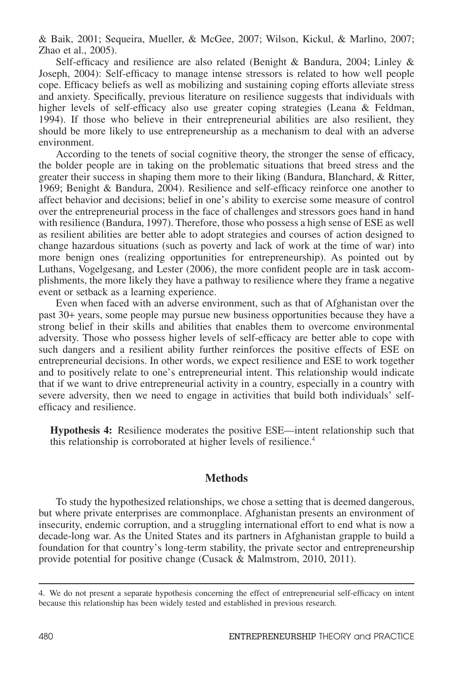& Baik, 2001; Sequeira, Mueller, & McGee, 2007; Wilson, Kickul, & Marlino, 2007; Zhao et al., 2005).

Self-efficacy and resilience are also related (Benight & Bandura, 2004; Linley & Joseph, 2004): Self-efficacy to manage intense stressors is related to how well people cope. Efficacy beliefs as well as mobilizing and sustaining coping efforts alleviate stress and anxiety. Specifically, previous literature on resilience suggests that individuals with higher levels of self-efficacy also use greater coping strategies (Leana & Feldman, 1994). If those who believe in their entrepreneurial abilities are also resilient, they should be more likely to use entrepreneurship as a mechanism to deal with an adverse environment.

According to the tenets of social cognitive theory, the stronger the sense of efficacy, the bolder people are in taking on the problematic situations that breed stress and the greater their success in shaping them more to their liking (Bandura, Blanchard, & Ritter, 1969; Benight & Bandura, 2004). Resilience and self-efficacy reinforce one another to affect behavior and decisions; belief in one's ability to exercise some measure of control over the entrepreneurial process in the face of challenges and stressors goes hand in hand with resilience (Bandura, 1997). Therefore, those who possess a high sense of ESE as well as resilient abilities are better able to adopt strategies and courses of action designed to change hazardous situations (such as poverty and lack of work at the time of war) into more benign ones (realizing opportunities for entrepreneurship). As pointed out by Luthans, Vogelgesang, and Lester (2006), the more confident people are in task accomplishments, the more likely they have a pathway to resilience where they frame a negative event or setback as a learning experience.

Even when faced with an adverse environment, such as that of Afghanistan over the past 30+ years, some people may pursue new business opportunities because they have a strong belief in their skills and abilities that enables them to overcome environmental adversity. Those who possess higher levels of self-efficacy are better able to cope with such dangers and a resilient ability further reinforces the positive effects of ESE on entrepreneurial decisions. In other words, we expect resilience and ESE to work together and to positively relate to one's entrepreneurial intent. This relationship would indicate that if we want to drive entrepreneurial activity in a country, especially in a country with severe adversity, then we need to engage in activities that build both individuals' selfefficacy and resilience.

**Hypothesis 4:** Resilience moderates the positive ESE—intent relationship such that this relationship is corroborated at higher levels of resilience.<sup>4</sup>

#### **Methods**

To study the hypothesized relationships, we chose a setting that is deemed dangerous, but where private enterprises are commonplace. Afghanistan presents an environment of insecurity, endemic corruption, and a struggling international effort to end what is now a decade-long war. As the United States and its partners in Afghanistan grapple to build a foundation for that country's long-term stability, the private sector and entrepreneurship provide potential for positive change (Cusack & Malmstrom, 2010, 2011).

<sup>4.</sup> We do not present a separate hypothesis concerning the effect of entrepreneurial self-efficacy on intent because this relationship has been widely tested and established in previous research.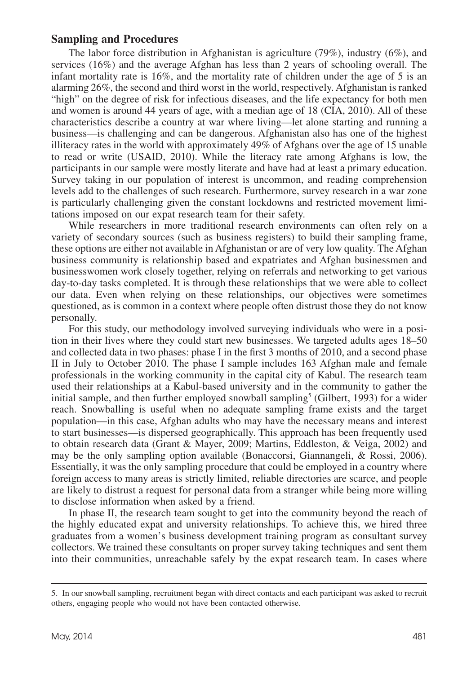#### **Sampling and Procedures**

The labor force distribution in Afghanistan is agriculture (79%), industry (6%), and services (16%) and the average Afghan has less than 2 years of schooling overall. The infant mortality rate is 16%, and the mortality rate of children under the age of 5 is an alarming 26%, the second and third worst in the world, respectively. Afghanistan is ranked "high" on the degree of risk for infectious diseases, and the life expectancy for both men and women is around 44 years of age, with a median age of 18 (CIA, 2010). All of these characteristics describe a country at war where living—let alone starting and running a business—is challenging and can be dangerous. Afghanistan also has one of the highest illiteracy rates in the world with approximately 49% of Afghans over the age of 15 unable to read or write (USAID, 2010). While the literacy rate among Afghans is low, the participants in our sample were mostly literate and have had at least a primary education. Survey taking in our population of interest is uncommon, and reading comprehension levels add to the challenges of such research. Furthermore, survey research in a war zone is particularly challenging given the constant lockdowns and restricted movement limitations imposed on our expat research team for their safety.

While researchers in more traditional research environments can often rely on a variety of secondary sources (such as business registers) to build their sampling frame, these options are either not available in Afghanistan or are of very low quality. The Afghan business community is relationship based and expatriates and Afghan businessmen and businesswomen work closely together, relying on referrals and networking to get various day-to-day tasks completed. It is through these relationships that we were able to collect our data. Even when relying on these relationships, our objectives were sometimes questioned, as is common in a context where people often distrust those they do not know personally.

For this study, our methodology involved surveying individuals who were in a position in their lives where they could start new businesses. We targeted adults ages 18–50 and collected data in two phases: phase I in the first 3 months of 2010, and a second phase II in July to October 2010. The phase I sample includes 163 Afghan male and female professionals in the working community in the capital city of Kabul. The research team used their relationships at a Kabul-based university and in the community to gather the initial sample, and then further employed snowball sampling<sup>5</sup> (Gilbert, 1993) for a wider reach. Snowballing is useful when no adequate sampling frame exists and the target population—in this case, Afghan adults who may have the necessary means and interest to start businesses—is dispersed geographically. This approach has been frequently used to obtain research data (Grant & Mayer, 2009; Martins, Eddleston, & Veiga, 2002) and may be the only sampling option available (Bonaccorsi, Giannangeli, & Rossi, 2006). Essentially, it was the only sampling procedure that could be employed in a country where foreign access to many areas is strictly limited, reliable directories are scarce, and people are likely to distrust a request for personal data from a stranger while being more willing to disclose information when asked by a friend.

In phase II, the research team sought to get into the community beyond the reach of the highly educated expat and university relationships. To achieve this, we hired three graduates from a women's business development training program as consultant survey collectors. We trained these consultants on proper survey taking techniques and sent them into their communities, unreachable safely by the expat research team. In cases where

<sup>5.</sup> In our snowball sampling, recruitment began with direct contacts and each participant was asked to recruit others, engaging people who would not have been contacted otherwise.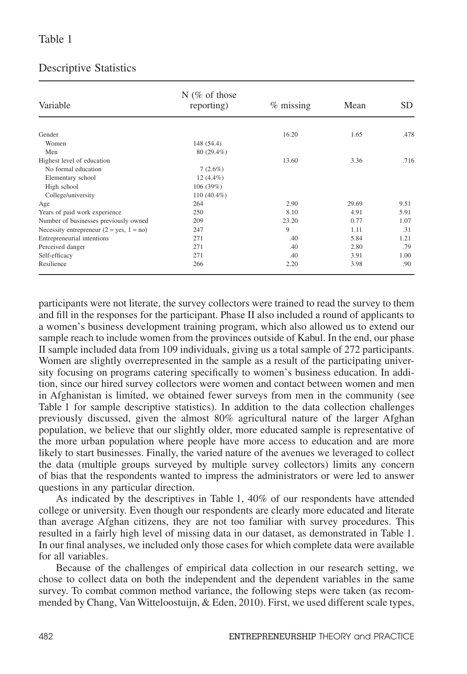# Descriptive Statistics

| Variable                                   | $N$ (% of those<br>reporting) | $%$ missing | Mean  | SD.  |
|--------------------------------------------|-------------------------------|-------------|-------|------|
|                                            |                               |             |       |      |
| Gender                                     |                               | 16.20       | 1.65  | .478 |
| Women                                      | 148 (54.4)                    |             |       |      |
| Men                                        | $80(29.4\%)$                  |             |       |      |
| Highest level of education                 |                               | 13.60       | 3.36  | .716 |
| No formal education                        | $7(2.6\%)$                    |             |       |      |
| Elementary school                          | $12(4.4\%)$                   |             |       |      |
| High school                                | 106 (39%)                     |             |       |      |
| College/university                         | 110 $(40.4\%)$                |             |       |      |
| Age                                        | 264                           | 2.90        | 29.69 | 9.51 |
| Years of paid work experience              | 250                           | 8.10        | 4.91  | 5.91 |
| Number of businesses previously owned      | 209                           | 23.20       | 0.77  | 1.07 |
| Necessity entrepreneur $(2 = yes, 1 = no)$ | 247                           | 9           | 1.11  | .31  |
| Entrepreneurial intentions                 | 271                           | .40         | 5.84  | 1.21 |
| Perceived danger                           | 271                           | .40         | 2.80  | .79  |
| Self-efficacy                              | 271                           | .40         | 3.91  | 1.00 |
| Resilience                                 | 266                           | 2.20        | 3.98  | .90  |

participants were not literate, the survey collectors were trained to read the survey to them and fill in the responses for the participant. Phase II also included a round of applicants to a women's business development training program, which also allowed us to extend our sample reach to include women from the provinces outside of Kabul. In the end, our phase II sample included data from 109 individuals, giving us a total sample of 272 participants. Women are slightly overrepresented in the sample as a result of the participating university focusing on programs catering specifically to women's business education. In addition, since our hired survey collectors were women and contact between women and men in Afghanistan is limited, we obtained fewer surveys from men in the community (see Table 1 for sample descriptive statistics). In addition to the data collection challenges previously discussed, given the almost 80% agricultural nature of the larger Afghan population, we believe that our slightly older, more educated sample is representative of the more urban population where people have more access to education and are more likely to start businesses. Finally, the varied nature of the avenues we leveraged to collect the data (multiple groups surveyed by multiple survey collectors) limits any concern of bias that the respondents wanted to impress the administrators or were led to answer questions in any particular direction.

As indicated by the descriptives in Table 1, 40% of our respondents have attended college or university. Even though our respondents are clearly more educated and literate than average Afghan citizens, they are not too familiar with survey procedures. This resulted in a fairly high level of missing data in our dataset, as demonstrated in Table 1. In our final analyses, we included only those cases for which complete data were available for all variables.

Because of the challenges of empirical data collection in our research setting, we chose to collect data on both the independent and the dependent variables in the same survey. To combat common method variance, the following steps were taken (as recommended by Chang, Van Witteloostuijn, & Eden, 2010). First, we used different scale types,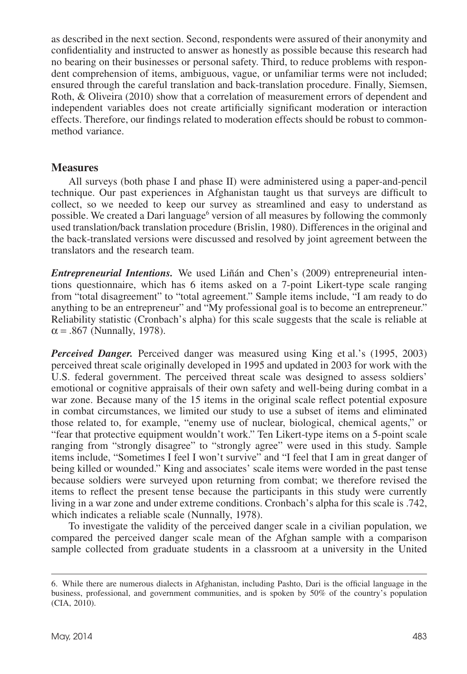as described in the next section. Second, respondents were assured of their anonymity and confidentiality and instructed to answer as honestly as possible because this research had no bearing on their businesses or personal safety. Third, to reduce problems with respondent comprehension of items, ambiguous, vague, or unfamiliar terms were not included; ensured through the careful translation and back-translation procedure. Finally, Siemsen, Roth, & Oliveira (2010) show that a correlation of measurement errors of dependent and independent variables does not create artificially significant moderation or interaction effects. Therefore, our findings related to moderation effects should be robust to commonmethod variance.

#### **Measures**

All surveys (both phase I and phase II) were administered using a paper-and-pencil technique. Our past experiences in Afghanistan taught us that surveys are difficult to collect, so we needed to keep our survey as streamlined and easy to understand as possible. We created a Dari language<sup>6</sup> version of all measures by following the commonly used translation/back translation procedure (Brislin, 1980). Differences in the original and the back-translated versions were discussed and resolved by joint agreement between the translators and the research team.

*Entrepreneurial Intentions.* We used Liñán and Chen's (2009) entrepreneurial intentions questionnaire, which has 6 items asked on a 7-point Likert-type scale ranging from "total disagreement" to "total agreement." Sample items include, "I am ready to do anything to be an entrepreneur" and "My professional goal is to become an entrepreneur." Reliability statistic (Cronbach's alpha) for this scale suggests that the scale is reliable at  $\alpha$  = .867 (Nunnally, 1978).

*Perceived Danger.* Perceived danger was measured using King et al.'s (1995, 2003) perceived threat scale originally developed in 1995 and updated in 2003 for work with the U.S. federal government. The perceived threat scale was designed to assess soldiers' emotional or cognitive appraisals of their own safety and well-being during combat in a war zone. Because many of the 15 items in the original scale reflect potential exposure in combat circumstances, we limited our study to use a subset of items and eliminated those related to, for example, "enemy use of nuclear, biological, chemical agents," or "fear that protective equipment wouldn't work." Ten Likert-type items on a 5-point scale ranging from "strongly disagree" to "strongly agree" were used in this study. Sample items include, "Sometimes I feel I won't survive" and "I feel that I am in great danger of being killed or wounded." King and associates' scale items were worded in the past tense because soldiers were surveyed upon returning from combat; we therefore revised the items to reflect the present tense because the participants in this study were currently living in a war zone and under extreme conditions. Cronbach's alpha for this scale is .742, which indicates a reliable scale (Nunnally, 1978).

To investigate the validity of the perceived danger scale in a civilian population, we compared the perceived danger scale mean of the Afghan sample with a comparison sample collected from graduate students in a classroom at a university in the United

<sup>6.</sup> While there are numerous dialects in Afghanistan, including Pashto, Dari is the official language in the business, professional, and government communities, and is spoken by 50% of the country's population (CIA, 2010).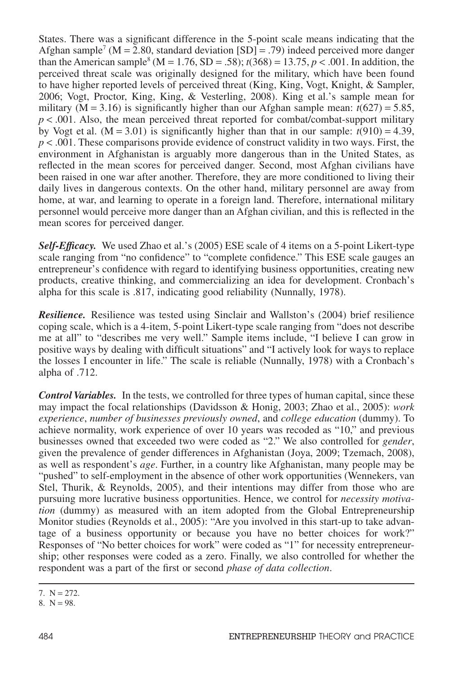States. There was a significant difference in the 5-point scale means indicating that the Afghan sample<sup>7</sup> (M = 2.80, standard deviation  $[SD] = .79$ ) indeed perceived more danger than the American sample<sup>8</sup> (M = 1.76, SD = .58);  $t(368) = 13.75, p < .001$ . In addition, the perceived threat scale was originally designed for the military, which have been found to have higher reported levels of perceived threat (King, King, Vogt, Knight, & Sampler, 2006; Vogt, Proctor, King, King, & Vesterling, 2008). King et al.'s sample mean for military ( $M = 3.16$ ) is significantly higher than our Afghan sample mean:  $t(627) = 5.85$ , *p* < .001. Also, the mean perceived threat reported for combat/combat-support military by Vogt et al.  $(M = 3.01)$  is significantly higher than that in our sample:  $t(910) = 4.39$ , *p* < .001. These comparisons provide evidence of construct validity in two ways. First, the environment in Afghanistan is arguably more dangerous than in the United States, as reflected in the mean scores for perceived danger. Second, most Afghan civilians have been raised in one war after another. Therefore, they are more conditioned to living their daily lives in dangerous contexts. On the other hand, military personnel are away from home, at war, and learning to operate in a foreign land. Therefore, international military personnel would perceive more danger than an Afghan civilian, and this is reflected in the mean scores for perceived danger.

*Self-Efficacy.* We used Zhao et al.'s (2005) ESE scale of 4 items on a 5-point Likert-type scale ranging from "no confidence" to "complete confidence." This ESE scale gauges an entrepreneur's confidence with regard to identifying business opportunities, creating new products, creative thinking, and commercializing an idea for development. Cronbach's alpha for this scale is .817, indicating good reliability (Nunnally, 1978).

*Resilience.* Resilience was tested using Sinclair and Wallston's (2004) brief resilience coping scale, which is a 4-item, 5-point Likert-type scale ranging from "does not describe me at all" to "describes me very well." Sample items include, "I believe I can grow in positive ways by dealing with difficult situations" and "I actively look for ways to replace the losses I encounter in life." The scale is reliable (Nunnally, 1978) with a Cronbach's alpha of .712.

*Control Variables.* In the tests, we controlled for three types of human capital, since these may impact the focal relationships (Davidsson & Honig, 2003; Zhao et al., 2005): *work experience*, *number of businesses previously owned*, and *college education* (dummy). To achieve normality, work experience of over 10 years was recoded as "10," and previous businesses owned that exceeded two were coded as "2." We also controlled for *gender*, given the prevalence of gender differences in Afghanistan (Joya, 2009; Tzemach, 2008), as well as respondent's *age*. Further, in a country like Afghanistan, many people may be "pushed" to self-employment in the absence of other work opportunities (Wennekers, van Stel, Thurik, & Reynolds, 2005), and their intentions may differ from those who are pursuing more lucrative business opportunities. Hence, we control for *necessity motivation* (dummy) as measured with an item adopted from the Global Entrepreneurship Monitor studies (Reynolds et al., 2005): "Are you involved in this start-up to take advantage of a business opportunity or because you have no better choices for work?" Responses of "No better choices for work" were coded as "1" for necessity entrepreneurship; other responses were coded as a zero. Finally, we also controlled for whether the respondent was a part of the first or second *phase of data collection*.

<sup>7.</sup>  $N = 272$ .

 $8. N = 98.$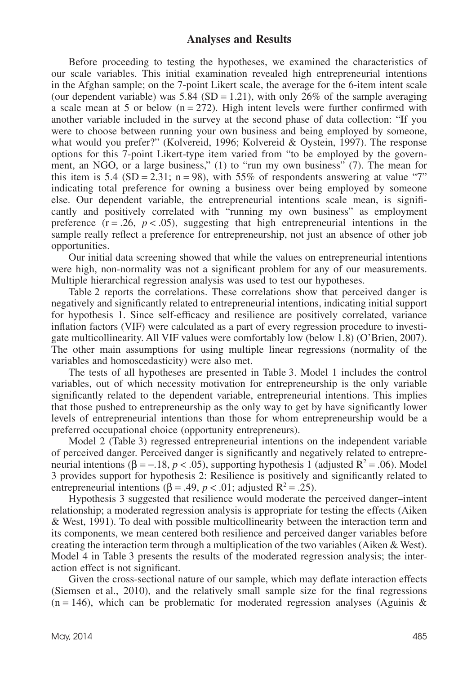#### **Analyses and Results**

Before proceeding to testing the hypotheses, we examined the characteristics of our scale variables. This initial examination revealed high entrepreneurial intentions in the Afghan sample; on the 7-point Likert scale, the average for the 6-item intent scale (our dependent variable) was  $5.84$  (SD = 1.21), with only 26% of the sample averaging a scale mean at 5 or below  $(n = 272)$ . High intent levels were further confirmed with another variable included in the survey at the second phase of data collection: "If you were to choose between running your own business and being employed by someone, what would you prefer?" (Kolvereid, 1996; Kolvereid & Oystein, 1997). The response options for this 7-point Likert-type item varied from "to be employed by the government, an NGO, or a large business," (1) to "run my own business" (7). The mean for this item is 5.4 (SD = 2.31; n = 98), with 55% of respondents answering at value "7" indicating total preference for owning a business over being employed by someone else. Our dependent variable, the entrepreneurial intentions scale mean, is significantly and positively correlated with "running my own business" as employment preference  $(r = .26, p < .05)$ , suggesting that high entrepreneurial intentions in the sample really reflect a preference for entrepreneurship, not just an absence of other job opportunities.

Our initial data screening showed that while the values on entrepreneurial intentions were high, non-normality was not a significant problem for any of our measurements. Multiple hierarchical regression analysis was used to test our hypotheses.

Table 2 reports the correlations. These correlations show that perceived danger is negatively and significantly related to entrepreneurial intentions, indicating initial support for hypothesis 1. Since self-efficacy and resilience are positively correlated, variance inflation factors (VIF) were calculated as a part of every regression procedure to investigate multicollinearity. All VIF values were comfortably low (below 1.8) (O'Brien, 2007). The other main assumptions for using multiple linear regressions (normality of the variables and homoscedasticity) were also met.

The tests of all hypotheses are presented in Table 3. Model 1 includes the control variables, out of which necessity motivation for entrepreneurship is the only variable significantly related to the dependent variable, entrepreneurial intentions. This implies that those pushed to entrepreneurship as the only way to get by have significantly lower levels of entrepreneurial intentions than those for whom entrepreneurship would be a preferred occupational choice (opportunity entrepreneurs).

Model 2 (Table 3) regressed entrepreneurial intentions on the independent variable of perceived danger. Perceived danger is significantly and negatively related to entrepreneurial intentions ( $\beta = -.18$ ,  $p < .05$ ), supporting hypothesis 1 (adjusted  $R^2 = .06$ ). Model 3 provides support for hypothesis 2: Resilience is positively and significantly related to entrepreneurial intentions ( $\beta$  = .49,  $p$  < .01; adjusted R<sup>2</sup> = .25).

Hypothesis 3 suggested that resilience would moderate the perceived danger–intent relationship; a moderated regression analysis is appropriate for testing the effects (Aiken & West, 1991). To deal with possible multicollinearity between the interaction term and its components, we mean centered both resilience and perceived danger variables before creating the interaction term through a multiplication of the two variables (Aiken & West). Model 4 in Table 3 presents the results of the moderated regression analysis; the interaction effect is not significant.

Given the cross-sectional nature of our sample, which may deflate interaction effects (Siemsen et al., 2010), and the relatively small sample size for the final regressions  $(n = 146)$ , which can be problematic for moderated regression analyses (Aguinis &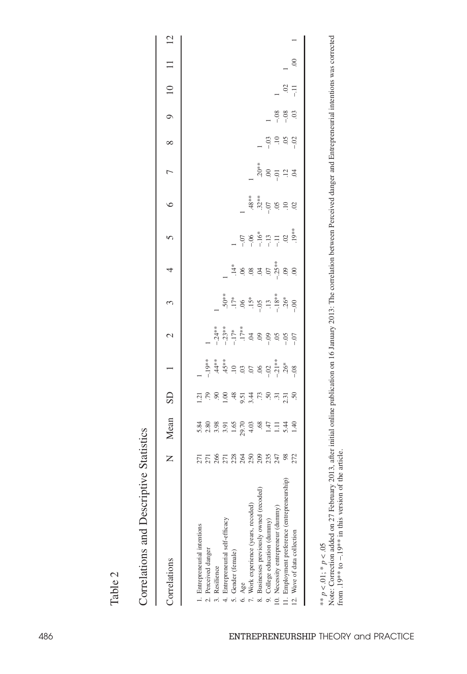| Correlations                                 | Z                   | Mean | $\overline{\text{SD}}$                                                                                                                                                                                                                                                                                                                                                                                                              | $\overline{\mathcal{C}}$                                                                                                                                                                                   | $\infty$ | $\overline{4}$                                                                                                                                                                                                                                                                                                                                                                                                                                                                                                                                                                                                                                                                                            | $\circ$                                                                                                                                                                                                                                                                                                 | $\circ$ | $\overline{C}$                                                                                                                | $\infty$                                        | $\circ$                  | $\overline{10}$ | $\equiv$       | $\overline{2}$ |
|----------------------------------------------|---------------------|------|-------------------------------------------------------------------------------------------------------------------------------------------------------------------------------------------------------------------------------------------------------------------------------------------------------------------------------------------------------------------------------------------------------------------------------------|------------------------------------------------------------------------------------------------------------------------------------------------------------------------------------------------------------|----------|-----------------------------------------------------------------------------------------------------------------------------------------------------------------------------------------------------------------------------------------------------------------------------------------------------------------------------------------------------------------------------------------------------------------------------------------------------------------------------------------------------------------------------------------------------------------------------------------------------------------------------------------------------------------------------------------------------------|---------------------------------------------------------------------------------------------------------------------------------------------------------------------------------------------------------------------------------------------------------------------------------------------------------|---------|-------------------------------------------------------------------------------------------------------------------------------|-------------------------------------------------|--------------------------|-----------------|----------------|----------------|
|                                              |                     |      |                                                                                                                                                                                                                                                                                                                                                                                                                                     |                                                                                                                                                                                                            |          |                                                                                                                                                                                                                                                                                                                                                                                                                                                                                                                                                                                                                                                                                                           |                                                                                                                                                                                                                                                                                                         |         |                                                                                                                               |                                                 |                          |                 |                |                |
| 1. Entrepreneurial intentions                |                     |      |                                                                                                                                                                                                                                                                                                                                                                                                                                     |                                                                                                                                                                                                            |          |                                                                                                                                                                                                                                                                                                                                                                                                                                                                                                                                                                                                                                                                                                           |                                                                                                                                                                                                                                                                                                         |         |                                                                                                                               |                                                 |                          |                 |                |                |
| 2. Perceived danger                          | ភ្លូងនិងមាន ដូច និង |      | $\begin{array}{ccccccccc}\n\Xi & \mathbb{P} & \mathbb{S} & \mathbb{S} & \mathbb{S} & \mathbb{S} & \mathbb{S} & \mathbb{S} & \mathbb{S} & \mathbb{S} & \mathbb{S} & \mathbb{S} & \mathbb{S} & \mathbb{S} & \mathbb{S} & \mathbb{S} & \mathbb{S} & \mathbb{S} & \mathbb{S} & \mathbb{S} & \mathbb{S} & \mathbb{S} & \mathbb{S} & \mathbb{S} & \mathbb{S} & \mathbb{S} & \mathbb{S} & \mathbb{S} & \mathbb{S} & \mathbb{S} & \mathbb{$ |                                                                                                                                                                                                            |          |                                                                                                                                                                                                                                                                                                                                                                                                                                                                                                                                                                                                                                                                                                           |                                                                                                                                                                                                                                                                                                         |         |                                                                                                                               |                                                 |                          |                 |                |                |
| 3. Resilience                                |                     |      |                                                                                                                                                                                                                                                                                                                                                                                                                                     |                                                                                                                                                                                                            |          |                                                                                                                                                                                                                                                                                                                                                                                                                                                                                                                                                                                                                                                                                                           |                                                                                                                                                                                                                                                                                                         |         |                                                                                                                               |                                                 |                          |                 |                |                |
| 4. Entrepreneurial self-efficacy             |                     |      |                                                                                                                                                                                                                                                                                                                                                                                                                                     | $-2.5$ $-1.7$ $-1.7$ $-1.7$ $-1.7$ $-1.7$ $-1.7$ $-1.7$ $-1.7$ $-1.7$ $-1.7$ $-1.7$ $-1.7$ $-1.7$ $-1.7$ $-1.7$ $-1.7$ $-1.7$ $-1.7$ $-1.7$ $-1.7$ $-1.7$ $-1.7$ $-1.7$ $-1.7$ $-1.7$ $-1.7$ $-1.7$ $-1.7$ |          |                                                                                                                                                                                                                                                                                                                                                                                                                                                                                                                                                                                                                                                                                                           |                                                                                                                                                                                                                                                                                                         |         |                                                                                                                               |                                                 |                          |                 |                |                |
| 5. Gender (female)                           |                     |      |                                                                                                                                                                                                                                                                                                                                                                                                                                     |                                                                                                                                                                                                            |          | $\begin{array}{ccccccccc}\n & \stackrel{*}{\rightarrow} & \stackrel{*}{\rightarrow} & \stackrel{*}{\rightarrow} & \stackrel{*}{\rightarrow} & \stackrel{*}{\rightarrow} & \stackrel{*}{\rightarrow} & \stackrel{*}{\rightarrow} & \stackrel{*}{\rightarrow} & \stackrel{*}{\rightarrow} & \stackrel{*}{\rightarrow} & \stackrel{*}{\rightarrow} & \stackrel{*}{\rightarrow} & \stackrel{*}{\rightarrow} & \stackrel{*}{\rightarrow} & \stackrel{*}{\rightarrow} & \stackrel{*}{\rightarrow} & \stackrel{*}{\rightarrow} & \stackrel{*}{\rightarrow} & \stackrel{*}{\rightarrow} & \stackrel{*}{\rightarrow} & \stackrel{*}{\rightarrow} & \stackrel{*}{\rightarrow} & \stackrel{*}{\rightarrow} & \stack$ |                                                                                                                                                                                                                                                                                                         |         |                                                                                                                               |                                                 |                          |                 |                |                |
| $6. \text{Age}$                              |                     |      |                                                                                                                                                                                                                                                                                                                                                                                                                                     |                                                                                                                                                                                                            |          |                                                                                                                                                                                                                                                                                                                                                                                                                                                                                                                                                                                                                                                                                                           | $\frac{1}{1}$ - 07<br>- 06<br>- 16<br>- 13<br>- 13<br>- 19<br>- 19<br>- 19<br>- 19<br>- 19<br>- 19<br>- 19<br>- 19<br>- 19<br>- 19<br>- 19<br>- 19<br>- 19<br>- 19<br>- 19<br>- 19<br>- 19<br>- 19<br>- 19<br>- 19<br>- 19<br>- 19<br>- 19<br>- 19<br>- 19<br>- 19<br>- 19<br>- 19<br>- 19<br>- 19<br>- |         |                                                                                                                               |                                                 |                          |                 |                |                |
| 7. Work experience (years, recoded)          |                     |      |                                                                                                                                                                                                                                                                                                                                                                                                                                     |                                                                                                                                                                                                            |          |                                                                                                                                                                                                                                                                                                                                                                                                                                                                                                                                                                                                                                                                                                           |                                                                                                                                                                                                                                                                                                         |         |                                                                                                                               |                                                 |                          |                 |                |                |
| 8. Businesses previously owned (recoded)     |                     |      |                                                                                                                                                                                                                                                                                                                                                                                                                                     |                                                                                                                                                                                                            |          |                                                                                                                                                                                                                                                                                                                                                                                                                                                                                                                                                                                                                                                                                                           |                                                                                                                                                                                                                                                                                                         |         |                                                                                                                               |                                                 |                          |                 |                |                |
| 9. College education (dummy)                 |                     |      |                                                                                                                                                                                                                                                                                                                                                                                                                                     |                                                                                                                                                                                                            |          |                                                                                                                                                                                                                                                                                                                                                                                                                                                                                                                                                                                                                                                                                                           |                                                                                                                                                                                                                                                                                                         |         | $\frac{1}{2}$ $\frac{1}{2}$ $\frac{1}{2}$ $\frac{1}{2}$ $\frac{1}{2}$ $\frac{1}{2}$ $\frac{1}{2}$ $\frac{1}{2}$ $\frac{1}{2}$ |                                                 | $\overline{\phantom{a}}$ |                 |                |                |
| 10. Necessity entrepreneur (dummy)           |                     |      |                                                                                                                                                                                                                                                                                                                                                                                                                                     |                                                                                                                                                                                                            |          |                                                                                                                                                                                                                                                                                                                                                                                                                                                                                                                                                                                                                                                                                                           |                                                                                                                                                                                                                                                                                                         |         |                                                                                                                               | $\frac{36}{10}$ $\frac{36}{10}$ $\frac{36}{10}$ | 0.88                     |                 |                |                |
| 11. Employment preference (entrepreneurship) |                     |      |                                                                                                                                                                                                                                                                                                                                                                                                                                     |                                                                                                                                                                                                            |          |                                                                                                                                                                                                                                                                                                                                                                                                                                                                                                                                                                                                                                                                                                           |                                                                                                                                                                                                                                                                                                         |         |                                                                                                                               |                                                 |                          | $02 - 11$       |                |                |
| 12. Wave of data collection                  |                     |      |                                                                                                                                                                                                                                                                                                                                                                                                                                     |                                                                                                                                                                                                            |          |                                                                                                                                                                                                                                                                                                                                                                                                                                                                                                                                                                                                                                                                                                           |                                                                                                                                                                                                                                                                                                         |         |                                                                                                                               |                                                 |                          |                 | $\overline{0}$ |                |
|                                              |                     |      |                                                                                                                                                                                                                                                                                                                                                                                                                                     |                                                                                                                                                                                                            |          |                                                                                                                                                                                                                                                                                                                                                                                                                                                                                                                                                                                                                                                                                                           |                                                                                                                                                                                                                                                                                                         |         |                                                                                                                               |                                                 |                          |                 |                |                |

Correlations and Descriptive Statistics

Correlations and Descriptive Statistics

Table 2

# \*\*  $p < .01$ ; \*  $p < .05$

\*\* p < .01; \* p < .05<br>Note: Correction added on 27 February 2013, after initial online publication on 16 January 2013: The correlation between Perceived danger and Entrepreneurial intentions was corrected<br>from .19\*\* to −. Note: Correction added on 27 February 2013, after initial online publication on 16 January 2013: The correlation between Perceived danger and Entrepreneurial intentions was corrected from .19\*\* to  $-19$ \*\* in this version of the article.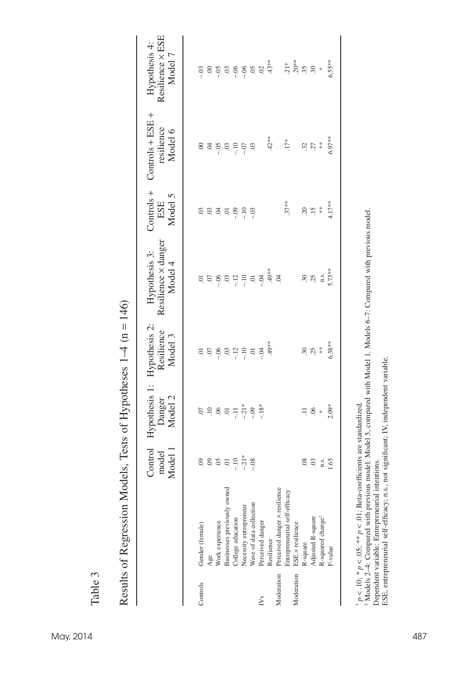Table 3

|        | I<br>I             |
|--------|--------------------|
|        |                    |
|        | i<br>١             |
|        |                    |
|        |                    |
|        |                    |
|        |                    |
|        |                    |
|        | I                  |
|        |                    |
|        | ì                  |
|        | I<br>I             |
|        | I<br>ì             |
|        |                    |
|        | ׇׇ֕֡               |
|        | ֠                  |
|        |                    |
|        | $\overline{a}$     |
|        | l                  |
|        | $\overline{a}$     |
|        | l<br>١             |
| י<br>ו | Í                  |
|        | Í                  |
|        | I                  |
|        | J                  |
|        |                    |
|        | I                  |
|        | $\vdots$           |
|        | j<br>ļ             |
|        | ١                  |
|        |                    |
| I      | Í                  |
|        |                    |
|        | I<br>١             |
|        | I                  |
|        | I<br>١             |
|        |                    |
|        |                    |
|        |                    |
|        |                    |
|        |                    |
|        | $\frac{1}{2}$<br>I |
|        |                    |
|        | l                  |
|        | ١                  |
|        | ׇ֚֘                |
|        | ļ<br>J             |
|        |                    |
|        | י<br>י             |
|        | j                  |
|        | )                  |
|        |                    |
|        | l                  |
| ļ      |                    |
|        | י                  |
|        | I                  |
|        | I<br>J             |
|        |                    |
|        | Ì                  |
|        | ì                  |
|        | ļ                  |
|        | Ï<br>I             |
|        |                    |
|        | i                  |
|        | l                  |
| ļ      | I                  |
|        |                    |

|                 |                               | Control<br>model<br>Model 1 | Hypothesis 1:<br>Danger<br>Model 2 | Hypothesis 2:<br>Resilience<br>Model 3                                                                                                                                                                                                                                                                                                                                                | Resilience × danger<br>Hypothesis 3:<br>Model 4                                                                                                                                                                                                                                                                                                                                       | Controls +<br>ESE<br>Model 5 | $Controls + ESE +$<br>resilience<br>Model 6 | Resilience × ESE<br>Hypothesis 4:<br>Model 7                                                               |
|-----------------|-------------------------------|-----------------------------|------------------------------------|---------------------------------------------------------------------------------------------------------------------------------------------------------------------------------------------------------------------------------------------------------------------------------------------------------------------------------------------------------------------------------------|---------------------------------------------------------------------------------------------------------------------------------------------------------------------------------------------------------------------------------------------------------------------------------------------------------------------------------------------------------------------------------------|------------------------------|---------------------------------------------|------------------------------------------------------------------------------------------------------------|
| Controls        | Gender (female)               |                             |                                    |                                                                                                                                                                                                                                                                                                                                                                                       |                                                                                                                                                                                                                                                                                                                                                                                       |                              |                                             |                                                                                                            |
|                 | Age                           |                             |                                    |                                                                                                                                                                                                                                                                                                                                                                                       |                                                                                                                                                                                                                                                                                                                                                                                       |                              |                                             |                                                                                                            |
|                 | Work experience               | 500                         |                                    |                                                                                                                                                                                                                                                                                                                                                                                       |                                                                                                                                                                                                                                                                                                                                                                                       |                              |                                             |                                                                                                            |
|                 | Businesses previously owned   |                             |                                    |                                                                                                                                                                                                                                                                                                                                                                                       |                                                                                                                                                                                                                                                                                                                                                                                       |                              |                                             |                                                                                                            |
|                 | College education             | $-10$                       | 5 = 8 = = = = = = =                | $\overline{a}$ ; $\overline{b}$ ; $\overline{c}$ ; $\overline{c}$ ; $\overline{c}$ ; $\overline{c}$ ; $\overline{c}$ ; $\overline{c}$ ; $\overline{c}$ ; $\overline{c}$ ; $\overline{c}$ ; $\overline{c}$ ; $\overline{c}$ ; $\overline{c}$ ; $\overline{c}$ ; $\overline{c}$ ; $\overline{c}$ ; $\overline{c}$ ; $\overline{c}$ ; $\overline{c}$ ; $\overline{c}$ ; $\overline{c}$ ; | $\overline{a}$ ; $\overline{b}$ ; $\overline{c}$ ; $\overline{c}$ ; $\overline{c}$ ; $\overline{c}$ ; $\overline{c}$ ; $\overline{c}$ ; $\overline{c}$ ; $\overline{c}$ ; $\overline{c}$ ; $\overline{c}$ ; $\overline{c}$ ; $\overline{c}$ ; $\overline{c}$ ; $\overline{c}$ ; $\overline{c}$ ; $\overline{c}$ ; $\overline{c}$ ; $\overline{c}$ ; $\overline{c}$ ; $\overline{c}$ ; | 88858998<br>88858998         | 839997                                      | $-0.3$<br>$-0.5$<br>$-0.5$<br>$-0.5$<br>$-0.5$<br>$-0.5$<br>$-0.2$<br>$+0.2$<br>$+0.2$<br>$+0.2$<br>$+0.2$ |
|                 | Necessity entrepreneur        | $-.21*$                     |                                    |                                                                                                                                                                                                                                                                                                                                                                                       |                                                                                                                                                                                                                                                                                                                                                                                       |                              |                                             |                                                                                                            |
|                 | Wave of data collection       | $-08$                       |                                    |                                                                                                                                                                                                                                                                                                                                                                                       |                                                                                                                                                                                                                                                                                                                                                                                       |                              | $\overline{0}$                              |                                                                                                            |
| IV <sub>s</sub> | Perceived danger              |                             |                                    |                                                                                                                                                                                                                                                                                                                                                                                       |                                                                                                                                                                                                                                                                                                                                                                                       |                              |                                             |                                                                                                            |
|                 | Resilience                    |                             |                                    | $49**$                                                                                                                                                                                                                                                                                                                                                                                | $49**$                                                                                                                                                                                                                                                                                                                                                                                |                              | $.42**$                                     |                                                                                                            |
| Moderation      | Perceived danger × resilience |                             |                                    |                                                                                                                                                                                                                                                                                                                                                                                       | $\dot{a}$                                                                                                                                                                                                                                                                                                                                                                             |                              |                                             |                                                                                                            |
|                 | Entrepreneurial self-efficacy |                             |                                    |                                                                                                                                                                                                                                                                                                                                                                                       |                                                                                                                                                                                                                                                                                                                                                                                       | $.37***$                     | $.17*$                                      | $\begin{array}{c} 1 \ \ * \\ 2 \ 0 \ \ * \\ 3 \ 0 \ 0 \ 0 \ 0 \ 0 \end{array}$                             |
| Moderation      | ESE x resilience              |                             |                                    |                                                                                                                                                                                                                                                                                                                                                                                       |                                                                                                                                                                                                                                                                                                                                                                                       |                              |                                             |                                                                                                            |
|                 | R-square                      |                             |                                    |                                                                                                                                                                                                                                                                                                                                                                                       |                                                                                                                                                                                                                                                                                                                                                                                       |                              |                                             |                                                                                                            |
|                 | Adjusted R-square             |                             | $\Xi \, \lessapprox \, *$          | $30.8$ $*$                                                                                                                                                                                                                                                                                                                                                                            | $\frac{30}{25}$                                                                                                                                                                                                                                                                                                                                                                       | 20, 5,                       | $\ddot{3} \dot{5}$                          |                                                                                                            |
|                 | R-squared change <sup>*</sup> | n.s                         |                                    |                                                                                                                                                                                                                                                                                                                                                                                       | $n. s.$<br>5.73**                                                                                                                                                                                                                                                                                                                                                                     |                              |                                             |                                                                                                            |
|                 | F-value                       | $\frac{6}{1}$               | $2.09*$                            | $6.38***$                                                                                                                                                                                                                                                                                                                                                                             |                                                                                                                                                                                                                                                                                                                                                                                       | $4.17***$                    | $6.97***$                                   | $6.55***$                                                                                                  |
|                 |                               |                             |                                    |                                                                                                                                                                                                                                                                                                                                                                                       |                                                                                                                                                                                                                                                                                                                                                                                       |                              |                                             |                                                                                                            |

†‡ *p* < .10; \* *p* < .05; \*\* *p* < .01; Beta-coefficients are standardized. Models 2–4: Compared with previous model. Model 5, compared with Model 1. Models 6–7: Compared with previous model.

Dependent variable: Entrepreneurial intentions. ESE, entrepreneurial self-efficacy; n.s., not significant; IV, independent variable.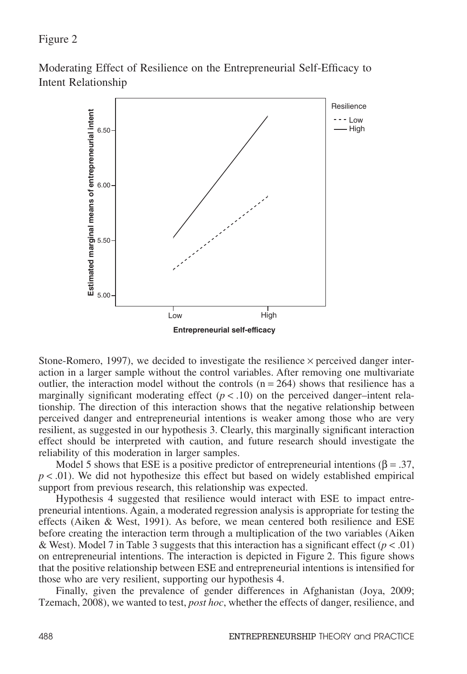Figure 2

Moderating Effect of Resilience on the Entrepreneurial Self-Efficacy to Intent Relationship



Stone-Romero, 1997), we decided to investigate the resilience  $\times$  perceived danger interaction in a larger sample without the control variables. After removing one multivariate outlier, the interaction model without the controls  $(n = 264)$  shows that resilience has a marginally significant moderating effect  $(p < .10)$  on the perceived danger–intent relationship. The direction of this interaction shows that the negative relationship between perceived danger and entrepreneurial intentions is weaker among those who are very resilient, as suggested in our hypothesis 3. Clearly, this marginally significant interaction effect should be interpreted with caution, and future research should investigate the reliability of this moderation in larger samples.

Model 5 shows that ESE is a positive predictor of entrepreneurial intentions ( $\beta = .37$ ,  $p < .01$ ). We did not hypothesize this effect but based on widely established empirical support from previous research, this relationship was expected.

Hypothesis 4 suggested that resilience would interact with ESE to impact entrepreneurial intentions. Again, a moderated regression analysis is appropriate for testing the effects (Aiken & West, 1991). As before, we mean centered both resilience and ESE before creating the interaction term through a multiplication of the two variables (Aiken & West). Model 7 in Table 3 suggests that this interaction has a significant effect ( $p < .01$ ) on entrepreneurial intentions. The interaction is depicted in Figure 2. This figure shows that the positive relationship between ESE and entrepreneurial intentions is intensified for those who are very resilient, supporting our hypothesis 4.

Finally, given the prevalence of gender differences in Afghanistan (Joya, 2009; Tzemach, 2008), we wanted to test, *post hoc*, whether the effects of danger, resilience, and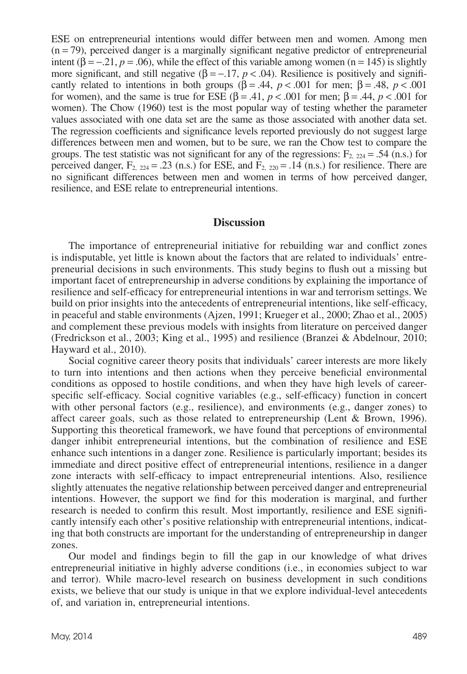ESE on entrepreneurial intentions would differ between men and women. Among men  $(n = 79)$ , perceived danger is a marginally significant negative predictor of entrepreneurial intent ( $\beta = -.21$ ,  $p = .06$ ), while the effect of this variable among women ( $n = 145$ ) is slightly more significant, and still negative  $(\beta = -17, p < 0.04)$ . Resilience is positively and significantly related to intentions in both groups  $(\beta = .44, p < .001$  for men;  $\beta = .48, p < .001$ for women), and the same is true for ESE  $(\beta = .41, p < .001$  for men;  $\beta = .44, p < .001$  for women). The Chow (1960) test is the most popular way of testing whether the parameter values associated with one data set are the same as those associated with another data set. The regression coefficients and significance levels reported previously do not suggest large differences between men and women, but to be sure, we ran the Chow test to compare the groups. The test statistic was not significant for any of the regressions:  $F_{2, 224} = .54$  (n.s.) for perceived danger,  $F_{2, 224} = .23$  (n.s.) for ESE, and  $F_{2, 220} = .14$  (n.s.) for resilience. There are no significant differences between men and women in terms of how perceived danger, resilience, and ESE relate to entrepreneurial intentions.

#### **Discussion**

The importance of entrepreneurial initiative for rebuilding war and conflict zones is indisputable, yet little is known about the factors that are related to individuals' entrepreneurial decisions in such environments. This study begins to flush out a missing but important facet of entrepreneurship in adverse conditions by explaining the importance of resilience and self-efficacy for entrepreneurial intentions in war and terrorism settings. We build on prior insights into the antecedents of entrepreneurial intentions, like self-efficacy, in peaceful and stable environments (Ajzen, 1991; Krueger et al., 2000; Zhao et al., 2005) and complement these previous models with insights from literature on perceived danger (Fredrickson et al., 2003; King et al., 1995) and resilience (Branzei & Abdelnour, 2010; Hayward et al., 2010).

Social cognitive career theory posits that individuals' career interests are more likely to turn into intentions and then actions when they perceive beneficial environmental conditions as opposed to hostile conditions, and when they have high levels of careerspecific self-efficacy. Social cognitive variables (e.g., self-efficacy) function in concert with other personal factors (e.g., resilience), and environments (e.g., danger zones) to affect career goals, such as those related to entrepreneurship (Lent & Brown, 1996). Supporting this theoretical framework, we have found that perceptions of environmental danger inhibit entrepreneurial intentions, but the combination of resilience and ESE enhance such intentions in a danger zone. Resilience is particularly important; besides its immediate and direct positive effect of entrepreneurial intentions, resilience in a danger zone interacts with self-efficacy to impact entrepreneurial intentions. Also, resilience slightly attenuates the negative relationship between perceived danger and entrepreneurial intentions. However, the support we find for this moderation is marginal, and further research is needed to confirm this result. Most importantly, resilience and ESE significantly intensify each other's positive relationship with entrepreneurial intentions, indicating that both constructs are important for the understanding of entrepreneurship in danger zones.

Our model and findings begin to fill the gap in our knowledge of what drives entrepreneurial initiative in highly adverse conditions (i.e., in economies subject to war and terror). While macro-level research on business development in such conditions exists, we believe that our study is unique in that we explore individual-level antecedents of, and variation in, entrepreneurial intentions.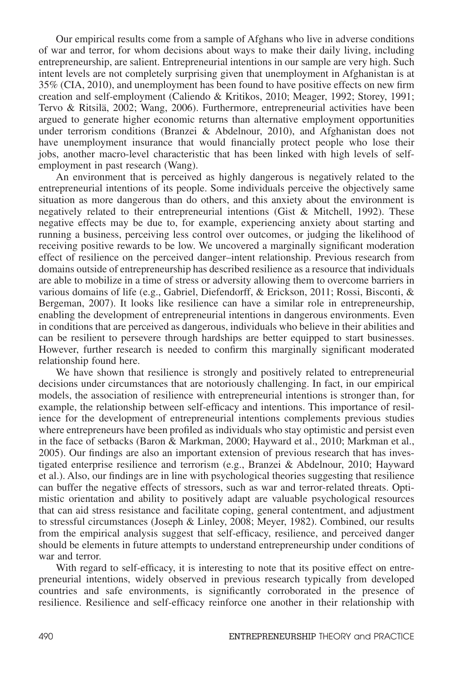Our empirical results come from a sample of Afghans who live in adverse conditions of war and terror, for whom decisions about ways to make their daily living, including entrepreneurship, are salient. Entrepreneurial intentions in our sample are very high. Such intent levels are not completely surprising given that unemployment in Afghanistan is at 35% (CIA, 2010), and unemployment has been found to have positive effects on new firm creation and self-employment (Caliendo & Kritikos, 2010; Meager, 1992; Storey, 1991; Tervo & Ritsilä, 2002; Wang, 2006). Furthermore, entrepreneurial activities have been argued to generate higher economic returns than alternative employment opportunities under terrorism conditions (Branzei & Abdelnour, 2010), and Afghanistan does not have unemployment insurance that would financially protect people who lose their jobs, another macro-level characteristic that has been linked with high levels of selfemployment in past research (Wang).

An environment that is perceived as highly dangerous is negatively related to the entrepreneurial intentions of its people. Some individuals perceive the objectively same situation as more dangerous than do others, and this anxiety about the environment is negatively related to their entrepreneurial intentions (Gist & Mitchell, 1992). These negative effects may be due to, for example, experiencing anxiety about starting and running a business, perceiving less control over outcomes, or judging the likelihood of receiving positive rewards to be low. We uncovered a marginally significant moderation effect of resilience on the perceived danger–intent relationship. Previous research from domains outside of entrepreneurship has described resilience as a resource that individuals are able to mobilize in a time of stress or adversity allowing them to overcome barriers in various domains of life (e.g., Gabriel, Diefendorff, & Erickson, 2011; Rossi, Bisconti, & Bergeman, 2007). It looks like resilience can have a similar role in entrepreneurship, enabling the development of entrepreneurial intentions in dangerous environments. Even in conditions that are perceived as dangerous, individuals who believe in their abilities and can be resilient to persevere through hardships are better equipped to start businesses. However, further research is needed to confirm this marginally significant moderated relationship found here.

We have shown that resilience is strongly and positively related to entrepreneurial decisions under circumstances that are notoriously challenging. In fact, in our empirical models, the association of resilience with entrepreneurial intentions is stronger than, for example, the relationship between self-efficacy and intentions. This importance of resilience for the development of entrepreneurial intentions complements previous studies where entrepreneurs have been profiled as individuals who stay optimistic and persist even in the face of setbacks (Baron & Markman, 2000; Hayward et al., 2010; Markman et al., 2005). Our findings are also an important extension of previous research that has investigated enterprise resilience and terrorism (e.g., Branzei & Abdelnour, 2010; Hayward et al.). Also, our findings are in line with psychological theories suggesting that resilience can buffer the negative effects of stressors, such as war and terror-related threats. Optimistic orientation and ability to positively adapt are valuable psychological resources that can aid stress resistance and facilitate coping, general contentment, and adjustment to stressful circumstances (Joseph & Linley, 2008; Meyer, 1982). Combined, our results from the empirical analysis suggest that self-efficacy, resilience, and perceived danger should be elements in future attempts to understand entrepreneurship under conditions of war and terror.

With regard to self-efficacy, it is interesting to note that its positive effect on entrepreneurial intentions, widely observed in previous research typically from developed countries and safe environments, is significantly corroborated in the presence of resilience. Resilience and self-efficacy reinforce one another in their relationship with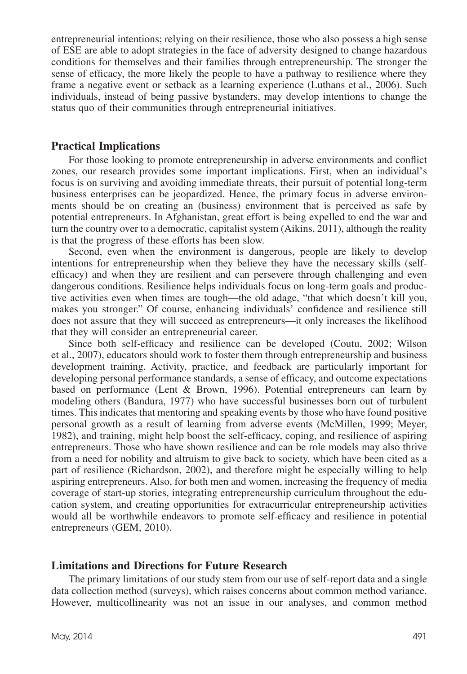entrepreneurial intentions; relying on their resilience, those who also possess a high sense of ESE are able to adopt strategies in the face of adversity designed to change hazardous conditions for themselves and their families through entrepreneurship. The stronger the sense of efficacy, the more likely the people to have a pathway to resilience where they frame a negative event or setback as a learning experience (Luthans et al., 2006). Such individuals, instead of being passive bystanders, may develop intentions to change the status quo of their communities through entrepreneurial initiatives.

#### **Practical Implications**

For those looking to promote entrepreneurship in adverse environments and conflict zones, our research provides some important implications. First, when an individual's focus is on surviving and avoiding immediate threats, their pursuit of potential long-term business enterprises can be jeopardized. Hence, the primary focus in adverse environments should be on creating an (business) environment that is perceived as safe by potential entrepreneurs. In Afghanistan, great effort is being expelled to end the war and turn the country over to a democratic, capitalist system (Aikins, 2011), although the reality is that the progress of these efforts has been slow.

Second, even when the environment is dangerous, people are likely to develop intentions for entrepreneurship when they believe they have the necessary skills (selfefficacy) and when they are resilient and can persevere through challenging and even dangerous conditions. Resilience helps individuals focus on long-term goals and productive activities even when times are tough—the old adage, "that which doesn't kill you, makes you stronger." Of course, enhancing individuals' confidence and resilience still does not assure that they will succeed as entrepreneurs—it only increases the likelihood that they will consider an entrepreneurial career.

Since both self-efficacy and resilience can be developed (Coutu, 2002; Wilson et al., 2007), educators should work to foster them through entrepreneurship and business development training. Activity, practice, and feedback are particularly important for developing personal performance standards, a sense of efficacy, and outcome expectations based on performance (Lent & Brown, 1996). Potential entrepreneurs can learn by modeling others (Bandura, 1977) who have successful businesses born out of turbulent times. This indicates that mentoring and speaking events by those who have found positive personal growth as a result of learning from adverse events (McMillen, 1999; Meyer, 1982), and training, might help boost the self-efficacy, coping, and resilience of aspiring entrepreneurs. Those who have shown resilience and can be role models may also thrive from a need for nobility and altruism to give back to society, which have been cited as a part of resilience (Richardson, 2002), and therefore might be especially willing to help aspiring entrepreneurs. Also, for both men and women, increasing the frequency of media coverage of start-up stories, integrating entrepreneurship curriculum throughout the education system, and creating opportunities for extracurricular entrepreneurship activities would all be worthwhile endeavors to promote self-efficacy and resilience in potential entrepreneurs (GEM, 2010).

#### **Limitations and Directions for Future Research**

The primary limitations of our study stem from our use of self-report data and a single data collection method (surveys), which raises concerns about common method variance. However, multicollinearity was not an issue in our analyses, and common method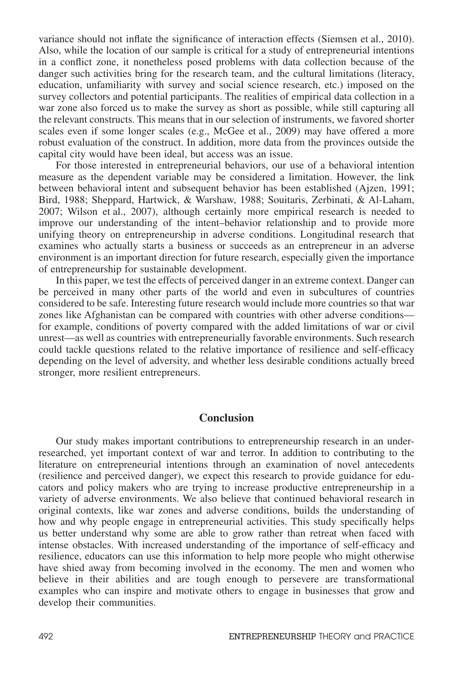variance should not inflate the significance of interaction effects (Siemsen et al., 2010). Also, while the location of our sample is critical for a study of entrepreneurial intentions in a conflict zone, it nonetheless posed problems with data collection because of the danger such activities bring for the research team, and the cultural limitations (literacy, education, unfamiliarity with survey and social science research, etc.) imposed on the survey collectors and potential participants. The realities of empirical data collection in a war zone also forced us to make the survey as short as possible, while still capturing all the relevant constructs. This means that in our selection of instruments, we favored shorter scales even if some longer scales (e.g., McGee et al., 2009) may have offered a more robust evaluation of the construct. In addition, more data from the provinces outside the capital city would have been ideal, but access was an issue.

For those interested in entrepreneurial behaviors, our use of a behavioral intention measure as the dependent variable may be considered a limitation. However, the link between behavioral intent and subsequent behavior has been established (Ajzen, 1991; Bird, 1988; Sheppard, Hartwick, & Warshaw, 1988; Souitaris, Zerbinati, & Al-Laham, 2007; Wilson et al., 2007), although certainly more empirical research is needed to improve our understanding of the intent–behavior relationship and to provide more unifying theory on entrepreneurship in adverse conditions. Longitudinal research that examines who actually starts a business or succeeds as an entrepreneur in an adverse environment is an important direction for future research, especially given the importance of entrepreneurship for sustainable development.

In this paper, we test the effects of perceived danger in an extreme context. Danger can be perceived in many other parts of the world and even in subcultures of countries considered to be safe. Interesting future research would include more countries so that war zones like Afghanistan can be compared with countries with other adverse conditions for example, conditions of poverty compared with the added limitations of war or civil unrest—as well as countries with entrepreneurially favorable environments. Such research could tackle questions related to the relative importance of resilience and self-efficacy depending on the level of adversity, and whether less desirable conditions actually breed stronger, more resilient entrepreneurs.

#### **Conclusion**

Our study makes important contributions to entrepreneurship research in an underresearched, yet important context of war and terror. In addition to contributing to the literature on entrepreneurial intentions through an examination of novel antecedents (resilience and perceived danger), we expect this research to provide guidance for educators and policy makers who are trying to increase productive entrepreneurship in a variety of adverse environments. We also believe that continued behavioral research in original contexts, like war zones and adverse conditions, builds the understanding of how and why people engage in entrepreneurial activities. This study specifically helps us better understand why some are able to grow rather than retreat when faced with intense obstacles. With increased understanding of the importance of self-efficacy and resilience, educators can use this information to help more people who might otherwise have shied away from becoming involved in the economy. The men and women who believe in their abilities and are tough enough to persevere are transformational examples who can inspire and motivate others to engage in businesses that grow and develop their communities.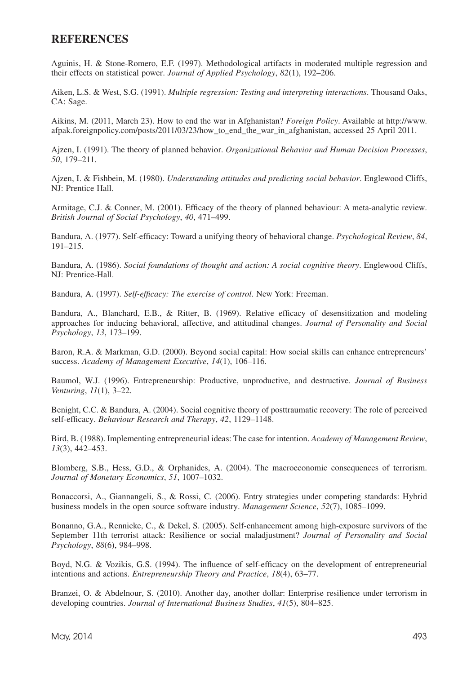#### **REFERENCES**

Aguinis, H. & Stone-Romero, E.F. (1997). Methodological artifacts in moderated multiple regression and their effects on statistical power. *Journal of Applied Psychology*, *82*(1), 192–206.

Aiken, L.S. & West, S.G. (1991). *Multiple regression: Testing and interpreting interactions*. Thousand Oaks, CA: Sage.

Aikins, M. (2011, March 23). How to end the war in Afghanistan? *Foreign Policy*. Available at http://www. afpak.foreignpolicy.com/posts/2011/03/23/how\_to\_end\_the\_war\_in\_afghanistan, accessed 25 April 2011.

Ajzen, I. (1991). The theory of planned behavior. *Organizational Behavior and Human Decision Processes*, *50*, 179–211.

Ajzen, I. & Fishbein, M. (1980). *Understanding attitudes and predicting social behavior*. Englewood Cliffs, NJ: Prentice Hall.

Armitage, C.J. & Conner, M. (2001). Efficacy of the theory of planned behaviour: A meta-analytic review. *British Journal of Social Psychology*, *40*, 471–499.

Bandura, A. (1977). Self-efficacy: Toward a unifying theory of behavioral change. *Psychological Review*, *84*, 191–215.

Bandura, A. (1986). *Social foundations of thought and action: A social cognitive theory*. Englewood Cliffs, NJ: Prentice-Hall.

Bandura, A. (1997). *Self-efficacy: The exercise of control*. New York: Freeman.

Bandura, A., Blanchard, E.B., & Ritter, B. (1969). Relative efficacy of desensitization and modeling approaches for inducing behavioral, affective, and attitudinal changes. *Journal of Personality and Social Psychology*, *13*, 173–199.

Baron, R.A. & Markman, G.D. (2000). Beyond social capital: How social skills can enhance entrepreneurs' success. *Academy of Management Executive*, *14*(1), 106–116.

Baumol, W.J. (1996). Entrepreneurship: Productive, unproductive, and destructive. *Journal of Business Venturing*, *11*(1), 3–22.

Benight, C.C. & Bandura, A. (2004). Social cognitive theory of posttraumatic recovery: The role of perceived self-efficacy. *Behaviour Research and Therapy*, *42*, 1129–1148.

Bird, B. (1988). Implementing entrepreneurial ideas: The case for intention. *Academy of Management Review*, *13*(3), 442–453.

Blomberg, S.B., Hess, G.D., & Orphanides, A. (2004). The macroeconomic consequences of terrorism. *Journal of Monetary Economics*, *51*, 1007–1032.

Bonaccorsi, A., Giannangeli, S., & Rossi, C. (2006). Entry strategies under competing standards: Hybrid business models in the open source software industry. *Management Science*, *52*(7), 1085–1099.

Bonanno, G.A., Rennicke, C., & Dekel, S. (2005). Self-enhancement among high-exposure survivors of the September 11th terrorist attack: Resilience or social maladjustment? *Journal of Personality and Social Psychology*, *88*(6), 984–998.

Boyd, N.G. & Vozikis, G.S. (1994). The influence of self-efficacy on the development of entrepreneurial intentions and actions. *Entrepreneurship Theory and Practice*, *18*(4), 63–77.

Branzei, O. & Abdelnour, S. (2010). Another day, another dollar: Enterprise resilience under terrorism in developing countries. *Journal of International Business Studies*, *41*(5), 804–825.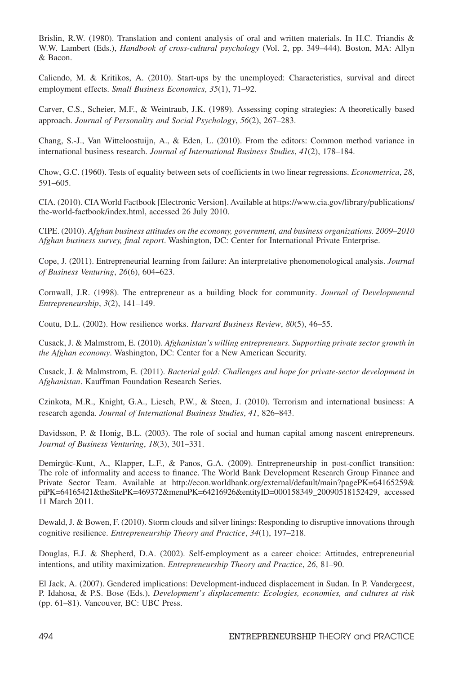Brislin, R.W. (1980). Translation and content analysis of oral and written materials. In H.C. Triandis & W.W. Lambert (Eds.), *Handbook of cross-cultural psychology* (Vol. 2, pp. 349–444). Boston, MA: Allyn & Bacon.

Caliendo, M. & Kritikos, A. (2010). Start-ups by the unemployed: Characteristics, survival and direct employment effects. *Small Business Economics*, *35*(1), 71–92.

Carver, C.S., Scheier, M.F., & Weintraub, J.K. (1989). Assessing coping strategies: A theoretically based approach. *Journal of Personality and Social Psychology*, *56*(2), 267–283.

Chang, S.-J., Van Witteloostuijn, A., & Eden, L. (2010). From the editors: Common method variance in international business research. *Journal of International Business Studies*, *41*(2), 178–184.

Chow, G.C. (1960). Tests of equality between sets of coefficients in two linear regressions. *Econometrica*, *28*, 591–605.

CIA. (2010). CIAWorld Factbook [Electronic Version]. Available at https://www.cia.gov/library/publications/ the-world-factbook/index.html, accessed 26 July 2010.

CIPE. (2010). *Afghan business attitudes on the economy, government, and business organizations. 2009–2010 Afghan business survey, final report*. Washington, DC: Center for International Private Enterprise.

Cope, J. (2011). Entrepreneurial learning from failure: An interpretative phenomenological analysis. *Journal of Business Venturing*, *26*(6), 604–623.

Cornwall, J.R. (1998). The entrepreneur as a building block for community. *Journal of Developmental Entrepreneurship*, *3*(2), 141–149.

Coutu, D.L. (2002). How resilience works. *Harvard Business Review*, *80*(5), 46–55.

Cusack, J. & Malmstrom, E. (2010). *Afghanistan's willing entrepreneurs. Supporting private sector growth in the Afghan economy*. Washington, DC: Center for a New American Security.

Cusack, J. & Malmstrom, E. (2011). *Bacterial gold: Challenges and hope for private-sector development in Afghanistan*. Kauffman Foundation Research Series.

Czinkota, M.R., Knight, G.A., Liesch, P.W., & Steen, J. (2010). Terrorism and international business: A research agenda. *Journal of International Business Studies*, *41*, 826–843.

Davidsson, P. & Honig, B.L. (2003). The role of social and human capital among nascent entrepreneurs. *Journal of Business Venturing*, *18*(3), 301–331.

Demirgüc-Kunt, A., Klapper, L.F., & Panos, G.A. (2009). Entrepreneurship in post-conflict transition: The role of informality and access to finance. The World Bank Development Research Group Finance and Private Sector Team. Available at http://econ.worldbank.org/external/default/main?pagePK=64165259& piPK=64165421&theSitePK=469372&menuPK=64216926&entityID=000158349\_20090518152429, accessed 11 March 2011.

Dewald, J. & Bowen, F. (2010). Storm clouds and silver linings: Responding to disruptive innovations through cognitive resilience. *Entrepreneurship Theory and Practice*, *34*(1), 197–218.

Douglas, E.J. & Shepherd, D.A. (2002). Self-employment as a career choice: Attitudes, entrepreneurial intentions, and utility maximization. *Entrepreneurship Theory and Practice*, *26*, 81–90.

El Jack, A. (2007). Gendered implications: Development-induced displacement in Sudan. In P. Vandergeest, P. Idahosa, & P.S. Bose (Eds.), *Development's displacements: Ecologies, economies, and cultures at risk* (pp. 61–81). Vancouver, BC: UBC Press.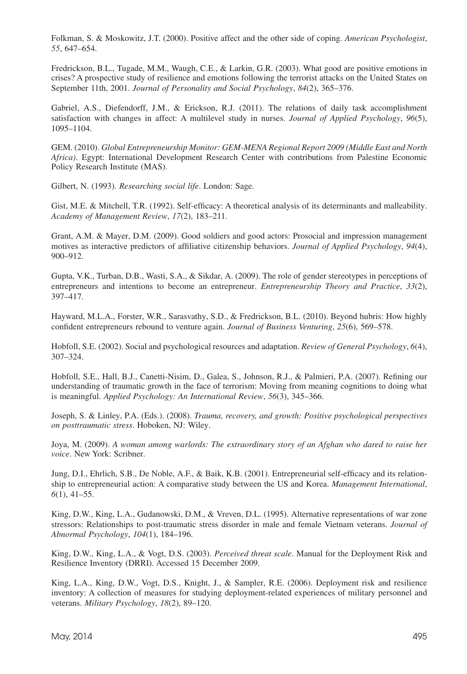Folkman, S. & Moskowitz, J.T. (2000). Positive affect and the other side of coping. *American Psychologist*, *55*, 647–654.

Fredrickson, B.L., Tugade, M.M., Waugh, C.E., & Larkin, G.R. (2003). What good are positive emotions in crises? A prospective study of resilience and emotions following the terrorist attacks on the United States on September 11th, 2001. *Journal of Personality and Social Psychology*, *84*(2), 365–376.

Gabriel, A.S., Diefendorff, J.M., & Erickson, R.J. (2011). The relations of daily task accomplishment satisfaction with changes in affect: A multilevel study in nurses. *Journal of Applied Psychology*, *96*(5), 1095–1104.

GEM. (2010). *Global Entrepreneurship Monitor: GEM-MENA Regional Report 2009 (Middle East and North Africa)*. Egypt: International Development Research Center with contributions from Palestine Economic Policy Research Institute (MAS).

Gilbert, N. (1993). *Researching social life*. London: Sage.

Gist, M.E. & Mitchell, T.R. (1992). Self-efficacy: A theoretical analysis of its determinants and malleability. *Academy of Management Review*, *17*(2), 183–211.

Grant, A.M. & Mayer, D.M. (2009). Good soldiers and good actors: Prosocial and impression management motives as interactive predictors of affiliative citizenship behaviors. *Journal of Applied Psychology*, *94*(4), 900–912.

Gupta, V.K., Turban, D.B., Wasti, S.A., & Sikdar, A. (2009). The role of gender stereotypes in perceptions of entrepreneurs and intentions to become an entrepreneur. *Entrepreneurship Theory and Practice*, *33*(2), 397–417.

Hayward, M.L.A., Forster, W.R., Sarasvathy, S.D., & Fredrickson, B.L. (2010). Beyond hubris: How highly confident entrepreneurs rebound to venture again. *Journal of Business Venturing*, *25*(6), 569–578.

Hobfoll, S.E. (2002). Social and psychological resources and adaptation. *Review of General Psychology*, *6*(4), 307–324.

Hobfoll, S.E., Hall, B.J., Canetti-Nisim, D., Galea, S., Johnson, R.J., & Palmieri, P.A. (2007). Refining our understanding of traumatic growth in the face of terrorism: Moving from meaning cognitions to doing what is meaningful. *Applied Psychology: An International Review*, *56*(3), 345–366.

Joseph, S. & Linley, P.A. (Eds.). (2008). *Trauma, recovery, and growth: Positive psychological perspectives on posttraumatic stress*. Hoboken, NJ: Wiley.

Joya, M. (2009). *A woman among warlords: The extraordinary story of an Afghan who dared to raise her voice*. New York: Scribner.

Jung, D.I., Ehrlich, S.B., De Noble, A.F., & Baik, K.B. (2001). Entrepreneurial self-efficacy and its relationship to entrepreneurial action: A comparative study between the US and Korea. *Management International*, *6*(1), 41–55.

King, D.W., King, L.A., Gudanowski, D.M., & Vreven, D.L. (1995). Alternative representations of war zone stressors: Relationships to post-traumatic stress disorder in male and female Vietnam veterans. *Journal of Abnormal Psychology*, *104*(1), 184–196.

King, D.W., King, L.A., & Vogt, D.S. (2003). *Perceived threat scale*. Manual for the Deployment Risk and Resilience Inventory (DRRI). Accessed 15 December 2009.

King, L.A., King, D.W., Vogt, D.S., Knight, J., & Sampler, R.E. (2006). Deployment risk and resilience inventory: A collection of measures for studying deployment-related experiences of military personnel and veterans. *Military Psychology*, *18*(2), 89–120.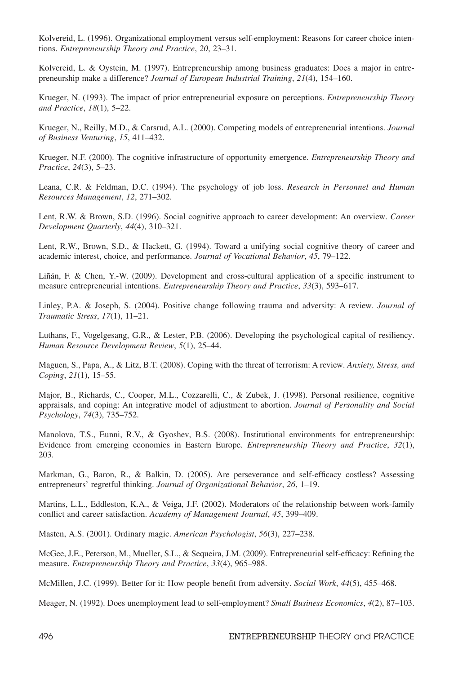Kolvereid, L. (1996). Organizational employment versus self-employment: Reasons for career choice intentions. *Entrepreneurship Theory and Practice*, *20*, 23–31.

Kolvereid, L. & Oystein, M. (1997). Entrepreneurship among business graduates: Does a major in entrepreneurship make a difference? *Journal of European Industrial Training*, *21*(4), 154–160.

Krueger, N. (1993). The impact of prior entrepreneurial exposure on perceptions. *Entrepreneurship Theory and Practice*, *18*(1), 5–22.

Krueger, N., Reilly, M.D., & Carsrud, A.L. (2000). Competing models of entrepreneurial intentions. *Journal of Business Venturing*, *15*, 411–432.

Krueger, N.F. (2000). The cognitive infrastructure of opportunity emergence. *Entrepreneurship Theory and Practice*, *24*(3), 5–23.

Leana, C.R. & Feldman, D.C. (1994). The psychology of job loss. *Research in Personnel and Human Resources Management*, *12*, 271–302.

Lent, R.W. & Brown, S.D. (1996). Social cognitive approach to career development: An overview. *Career Development Quarterly*, *44*(4), 310–321.

Lent, R.W., Brown, S.D., & Hackett, G. (1994). Toward a unifying social cognitive theory of career and academic interest, choice, and performance. *Journal of Vocational Behavior*, *45*, 79–122.

Liñán, F. & Chen, Y.-W. (2009). Development and cross-cultural application of a specific instrument to measure entrepreneurial intentions. *Entrepreneurship Theory and Practice*, *33*(3), 593–617.

Linley, P.A. & Joseph, S. (2004). Positive change following trauma and adversity: A review. *Journal of Traumatic Stress*, *17*(1), 11–21.

Luthans, F., Vogelgesang, G.R., & Lester, P.B. (2006). Developing the psychological capital of resiliency. *Human Resource Development Review*, *5*(1), 25–44.

Maguen, S., Papa, A., & Litz, B.T. (2008). Coping with the threat of terrorism: A review. *Anxiety, Stress, and Coping*, *21*(1), 15–55.

Major, B., Richards, C., Cooper, M.L., Cozzarelli, C., & Zubek, J. (1998). Personal resilience, cognitive appraisals, and coping: An integrative model of adjustment to abortion. *Journal of Personality and Social Psychology*, *74*(3), 735–752.

Manolova, T.S., Eunni, R.V., & Gyoshev, B.S. (2008). Institutional environments for entrepreneurship: Evidence from emerging economies in Eastern Europe. *Entrepreneurship Theory and Practice*, *32*(1), 203.

Markman, G., Baron, R., & Balkin, D. (2005). Are perseverance and self-efficacy costless? Assessing entrepreneurs' regretful thinking. *Journal of Organizational Behavior*, *26*, 1–19.

Martins, L.L., Eddleston, K.A., & Veiga, J.F. (2002). Moderators of the relationship between work-family conflict and career satisfaction. *Academy of Management Journal*, *45*, 399–409.

Masten, A.S. (2001). Ordinary magic. *American Psychologist*, *56*(3), 227–238.

McGee, J.E., Peterson, M., Mueller, S.L., & Sequeira, J.M. (2009). Entrepreneurial self-efficacy: Refining the measure. *Entrepreneurship Theory and Practice*, *33*(4), 965–988.

McMillen, J.C. (1999). Better for it: How people benefit from adversity. *Social Work*, *44*(5), 455–468.

Meager, N. (1992). Does unemployment lead to self-employment? *Small Business Economics*, *4*(2), 87–103.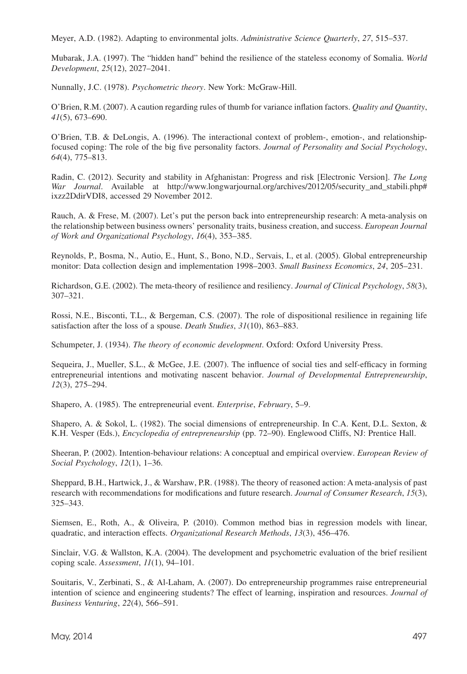Meyer, A.D. (1982). Adapting to environmental jolts. *Administrative Science Quarterly*, *27*, 515–537.

Mubarak, J.A. (1997). The "hidden hand" behind the resilience of the stateless economy of Somalia. *World Development*, *25*(12), 2027–2041.

Nunnally, J.C. (1978). *Psychometric theory*. New York: McGraw-Hill.

O'Brien, R.M. (2007). A caution regarding rules of thumb for variance inflation factors. *Quality and Quantity*, *41*(5), 673–690.

O'Brien, T.B. & DeLongis, A. (1996). The interactional context of problem-, emotion-, and relationshipfocused coping: The role of the big five personality factors. *Journal of Personality and Social Psychology*, *64*(4), 775–813.

Radin, C. (2012). Security and stability in Afghanistan: Progress and risk [Electronic Version]. *The Long War Journal*. Available at http://www.longwarjournal.org/archives/2012/05/security\_and\_stabili.php# ixzz2DdirVDI8, accessed 29 November 2012.

Rauch, A. & Frese, M. (2007). Let's put the person back into entrepreneurship research: A meta-analysis on the relationship between business owners' personality traits, business creation, and success. *European Journal of Work and Organizational Psychology*, *16*(4), 353–385.

Reynolds, P., Bosma, N., Autio, E., Hunt, S., Bono, N.D., Servais, I., et al. (2005). Global entrepreneurship monitor: Data collection design and implementation 1998–2003. *Small Business Economics*, *24*, 205–231.

Richardson, G.E. (2002). The meta-theory of resilience and resiliency. *Journal of Clinical Psychology*, *58*(3), 307–321.

Rossi, N.E., Bisconti, T.L., & Bergeman, C.S. (2007). The role of dispositional resilience in regaining life satisfaction after the loss of a spouse. *Death Studies*, *31*(10), 863–883.

Schumpeter, J. (1934). *The theory of economic development*. Oxford: Oxford University Press.

Sequeira, J., Mueller, S.L., & McGee, J.E. (2007). The influence of social ties and self-efficacy in forming entrepreneurial intentions and motivating nascent behavior. *Journal of Developmental Entrepreneurship*, *12*(3), 275–294.

Shapero, A. (1985). The entrepreneurial event. *Enterprise*, *February*, 5–9.

Shapero, A. & Sokol, L. (1982). The social dimensions of entrepreneurship. In C.A. Kent, D.L. Sexton, & K.H. Vesper (Eds.), *Encyclopedia of entrepreneurship* (pp. 72–90). Englewood Cliffs, NJ: Prentice Hall.

Sheeran, P. (2002). Intention-behaviour relations: A conceptual and empirical overview. *European Review of Social Psychology*, *12*(1), 1–36.

Sheppard, B.H., Hartwick, J., & Warshaw, P.R. (1988). The theory of reasoned action: A meta-analysis of past research with recommendations for modifications and future research. *Journal of Consumer Research*, *15*(3), 325–343.

Siemsen, E., Roth, A., & Oliveira, P. (2010). Common method bias in regression models with linear, quadratic, and interaction effects. *Organizational Research Methods*, *13*(3), 456–476.

Sinclair, V.G. & Wallston, K.A. (2004). The development and psychometric evaluation of the brief resilient coping scale. *Assessment*, *11*(1), 94–101.

Souitaris, V., Zerbinati, S., & Al-Laham, A. (2007). Do entrepreneurship programmes raise entrepreneurial intention of science and engineering students? The effect of learning, inspiration and resources. *Journal of Business Venturing*, *22*(4), 566–591.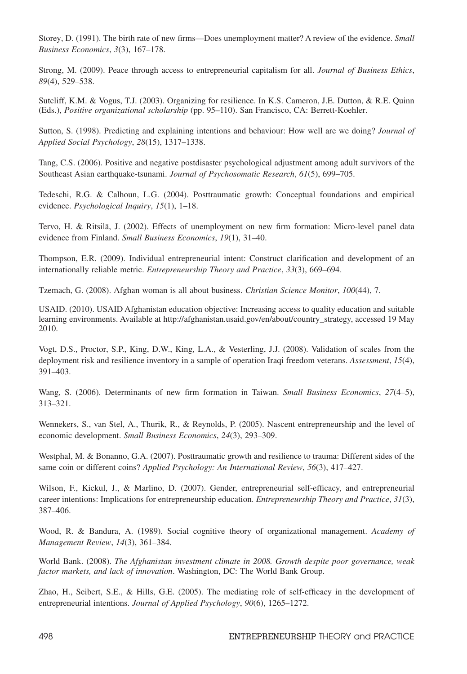Storey, D. (1991). The birth rate of new firms—Does unemployment matter? A review of the evidence. *Small Business Economics*, *3*(3), 167–178.

Strong, M. (2009). Peace through access to entrepreneurial capitalism for all. *Journal of Business Ethics*, *89*(4), 529–538.

Sutcliff, K.M. & Vogus, T.J. (2003). Organizing for resilience. In K.S. Cameron, J.E. Dutton, & R.E. Quinn (Eds.), *Positive organizational scholarship* (pp. 95–110). San Francisco, CA: Berrett-Koehler.

Sutton, S. (1998). Predicting and explaining intentions and behaviour: How well are we doing? *Journal of Applied Social Psychology*, *28*(15), 1317–1338.

Tang, C.S. (2006). Positive and negative postdisaster psychological adjustment among adult survivors of the Southeast Asian earthquake-tsunami. *Journal of Psychosomatic Research*, *61*(5), 699–705.

Tedeschi, R.G. & Calhoun, L.G. (2004). Posttraumatic growth: Conceptual foundations and empirical evidence. *Psychological Inquiry*, *15*(1), 1–18.

Tervo, H. & Ritsilä, J. (2002). Effects of unemployment on new firm formation: Micro-level panel data evidence from Finland. *Small Business Economics*, *19*(1), 31–40.

Thompson, E.R. (2009). Individual entrepreneurial intent: Construct clarification and development of an internationally reliable metric. *Entrepreneurship Theory and Practice*, *33*(3), 669–694.

Tzemach, G. (2008). Afghan woman is all about business. *Christian Science Monitor*, *100*(44), 7.

USAID. (2010). USAID Afghanistan education objective: Increasing access to quality education and suitable learning environments. Available at http://afghanistan.usaid.gov/en/about/country\_strategy, accessed 19 May 2010.

Vogt, D.S., Proctor, S.P., King, D.W., King, L.A., & Vesterling, J.J. (2008). Validation of scales from the deployment risk and resilience inventory in a sample of operation Iraqi freedom veterans. *Assessment*, *15*(4), 391–403.

Wang, S. (2006). Determinants of new firm formation in Taiwan. *Small Business Economics*, *27*(4–5), 313–321.

Wennekers, S., van Stel, A., Thurik, R., & Reynolds, P. (2005). Nascent entrepreneurship and the level of economic development. *Small Business Economics*, *24*(3), 293–309.

Westphal, M. & Bonanno, G.A. (2007). Posttraumatic growth and resilience to trauma: Different sides of the same coin or different coins? *Applied Psychology: An International Review*, *56*(3), 417–427.

Wilson, F., Kickul, J., & Marlino, D. (2007). Gender, entrepreneurial self-efficacy, and entrepreneurial career intentions: Implications for entrepreneurship education. *Entrepreneurship Theory and Practice*, *31*(3), 387–406.

Wood, R. & Bandura, A. (1989). Social cognitive theory of organizational management. *Academy of Management Review*, *14*(3), 361–384.

World Bank. (2008). *The Afghanistan investment climate in 2008. Growth despite poor governance, weak factor markets, and lack of innovation*. Washington, DC: The World Bank Group.

Zhao, H., Seibert, S.E., & Hills, G.E. (2005). The mediating role of self-efficacy in the development of entrepreneurial intentions. *Journal of Applied Psychology*, *90*(6), 1265–1272.